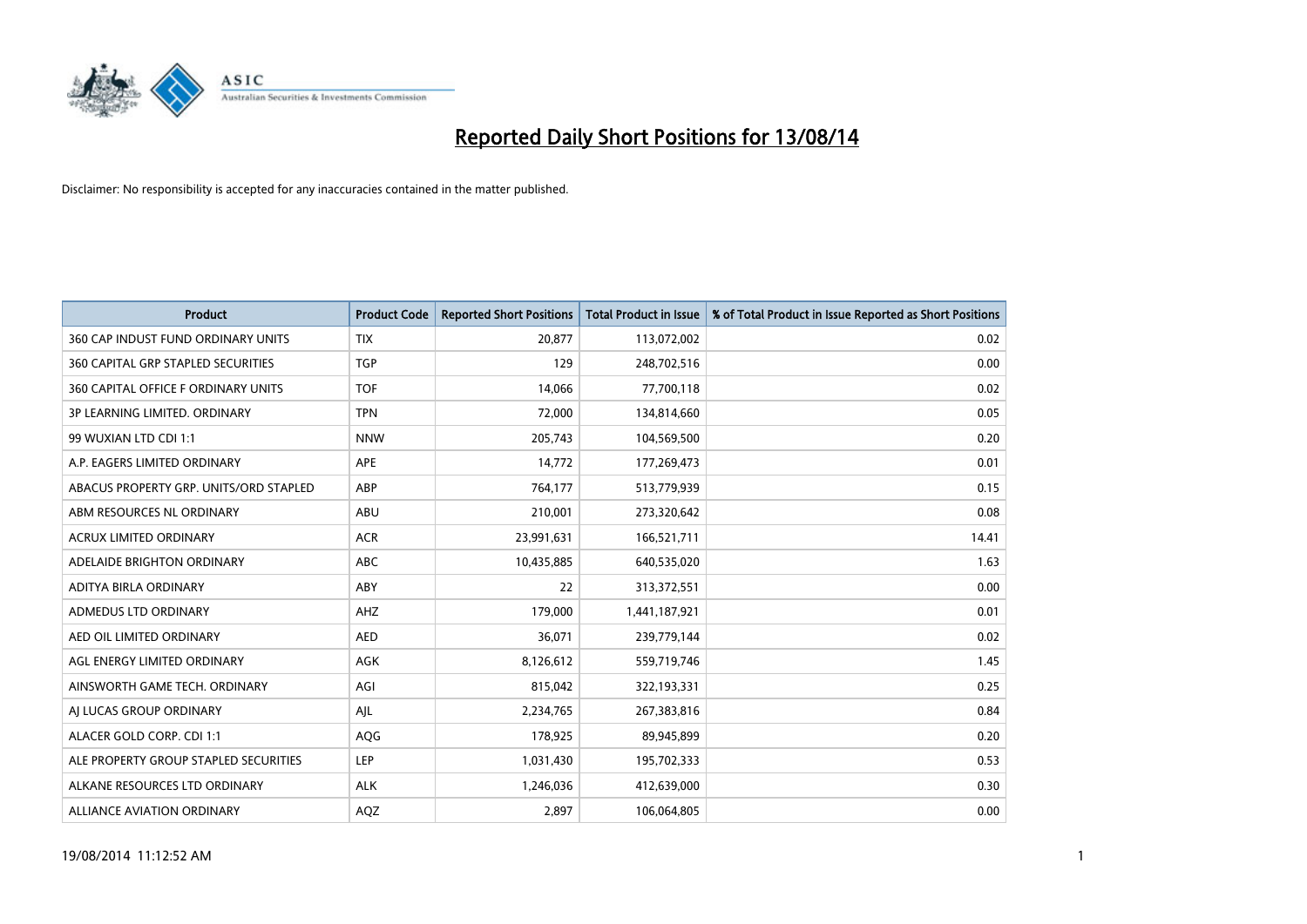

| <b>Product</b>                            | <b>Product Code</b> | <b>Reported Short Positions</b> | <b>Total Product in Issue</b> | % of Total Product in Issue Reported as Short Positions |
|-------------------------------------------|---------------------|---------------------------------|-------------------------------|---------------------------------------------------------|
| 360 CAP INDUST FUND ORDINARY UNITS        | <b>TIX</b>          | 20,877                          | 113,072,002                   | 0.02                                                    |
| <b>360 CAPITAL GRP STAPLED SECURITIES</b> | <b>TGP</b>          | 129                             | 248,702,516                   | 0.00                                                    |
| 360 CAPITAL OFFICE F ORDINARY UNITS       | <b>TOF</b>          | 14,066                          | 77,700,118                    | 0.02                                                    |
| 3P LEARNING LIMITED. ORDINARY             | <b>TPN</b>          | 72,000                          | 134,814,660                   | 0.05                                                    |
| 99 WUXIAN LTD CDI 1:1                     | <b>NNW</b>          | 205,743                         | 104,569,500                   | 0.20                                                    |
| A.P. EAGERS LIMITED ORDINARY              | APE                 | 14,772                          | 177,269,473                   | 0.01                                                    |
| ABACUS PROPERTY GRP. UNITS/ORD STAPLED    | ABP                 | 764,177                         | 513,779,939                   | 0.15                                                    |
| ABM RESOURCES NL ORDINARY                 | ABU                 | 210,001                         | 273,320,642                   | 0.08                                                    |
| ACRUX LIMITED ORDINARY                    | <b>ACR</b>          | 23,991,631                      | 166,521,711                   | 14.41                                                   |
| ADELAIDE BRIGHTON ORDINARY                | <b>ABC</b>          | 10,435,885                      | 640,535,020                   | 1.63                                                    |
| ADITYA BIRLA ORDINARY                     | ABY                 | 22                              | 313,372,551                   | 0.00                                                    |
| ADMEDUS LTD ORDINARY                      | AHZ                 | 179,000                         | 1,441,187,921                 | 0.01                                                    |
| AED OIL LIMITED ORDINARY                  | <b>AED</b>          | 36,071                          | 239,779,144                   | 0.02                                                    |
| AGL ENERGY LIMITED ORDINARY               | AGK                 | 8,126,612                       | 559,719,746                   | 1.45                                                    |
| AINSWORTH GAME TECH. ORDINARY             | AGI                 | 815,042                         | 322,193,331                   | 0.25                                                    |
| AJ LUCAS GROUP ORDINARY                   | AJL                 | 2,234,765                       | 267,383,816                   | 0.84                                                    |
| ALACER GOLD CORP. CDI 1:1                 | AQG                 | 178,925                         | 89,945,899                    | 0.20                                                    |
| ALE PROPERTY GROUP STAPLED SECURITIES     | LEP                 | 1,031,430                       | 195,702,333                   | 0.53                                                    |
| ALKANE RESOURCES LTD ORDINARY             | <b>ALK</b>          | 1,246,036                       | 412,639,000                   | 0.30                                                    |
| ALLIANCE AVIATION ORDINARY                | AQZ                 | 2,897                           | 106,064,805                   | 0.00                                                    |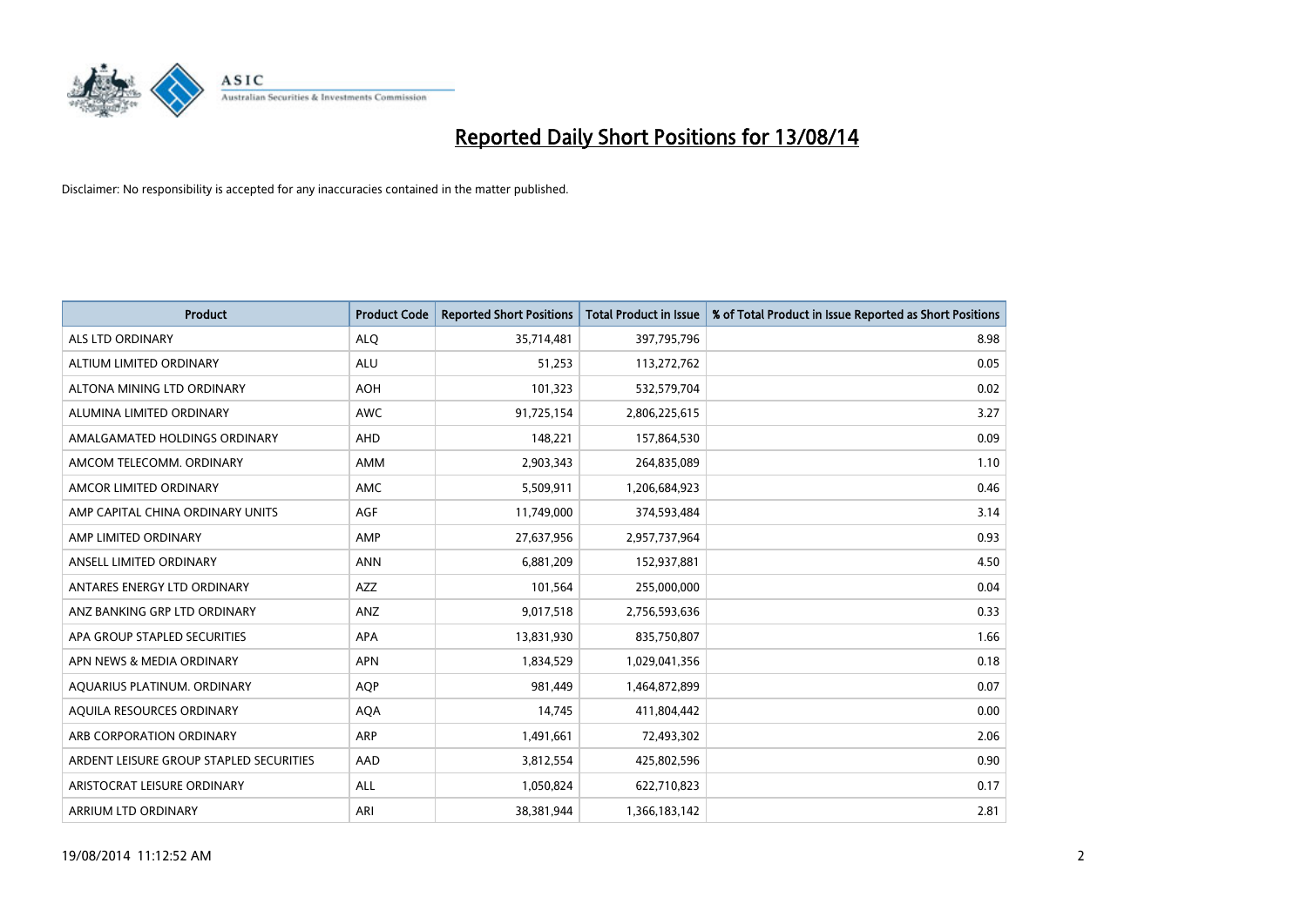

| <b>Product</b>                          | <b>Product Code</b> | <b>Reported Short Positions</b> | <b>Total Product in Issue</b> | % of Total Product in Issue Reported as Short Positions |
|-----------------------------------------|---------------------|---------------------------------|-------------------------------|---------------------------------------------------------|
| <b>ALS LTD ORDINARY</b>                 | <b>ALQ</b>          | 35,714,481                      | 397,795,796                   | 8.98                                                    |
| ALTIUM LIMITED ORDINARY                 | ALU                 | 51,253                          | 113,272,762                   | 0.05                                                    |
| ALTONA MINING LTD ORDINARY              | <b>AOH</b>          | 101,323                         | 532,579,704                   | 0.02                                                    |
| ALUMINA LIMITED ORDINARY                | <b>AWC</b>          | 91,725,154                      | 2,806,225,615                 | 3.27                                                    |
| AMALGAMATED HOLDINGS ORDINARY           | AHD                 | 148,221                         | 157,864,530                   | 0.09                                                    |
| AMCOM TELECOMM, ORDINARY                | AMM                 | 2,903,343                       | 264,835,089                   | 1.10                                                    |
| AMCOR LIMITED ORDINARY                  | AMC                 | 5,509,911                       | 1,206,684,923                 | 0.46                                                    |
| AMP CAPITAL CHINA ORDINARY UNITS        | AGF                 | 11,749,000                      | 374,593,484                   | 3.14                                                    |
| AMP LIMITED ORDINARY                    | AMP                 | 27,637,956                      | 2,957,737,964                 | 0.93                                                    |
| ANSELL LIMITED ORDINARY                 | <b>ANN</b>          | 6,881,209                       | 152,937,881                   | 4.50                                                    |
| ANTARES ENERGY LTD ORDINARY             | AZZ                 | 101,564                         | 255,000,000                   | 0.04                                                    |
| ANZ BANKING GRP LTD ORDINARY            | ANZ                 | 9,017,518                       | 2,756,593,636                 | 0.33                                                    |
| APA GROUP STAPLED SECURITIES            | <b>APA</b>          | 13,831,930                      | 835,750,807                   | 1.66                                                    |
| APN NEWS & MEDIA ORDINARY               | <b>APN</b>          | 1,834,529                       | 1,029,041,356                 | 0.18                                                    |
| AQUARIUS PLATINUM. ORDINARY             | AQP                 | 981,449                         | 1,464,872,899                 | 0.07                                                    |
| AQUILA RESOURCES ORDINARY               | <b>AQA</b>          | 14,745                          | 411,804,442                   | 0.00                                                    |
| ARB CORPORATION ORDINARY                | ARP                 | 1,491,661                       | 72,493,302                    | 2.06                                                    |
| ARDENT LEISURE GROUP STAPLED SECURITIES | AAD                 | 3,812,554                       | 425,802,596                   | 0.90                                                    |
| ARISTOCRAT LEISURE ORDINARY             | ALL                 | 1,050,824                       | 622,710,823                   | 0.17                                                    |
| ARRIUM LTD ORDINARY                     | ARI                 | 38,381,944                      | 1,366,183,142                 | 2.81                                                    |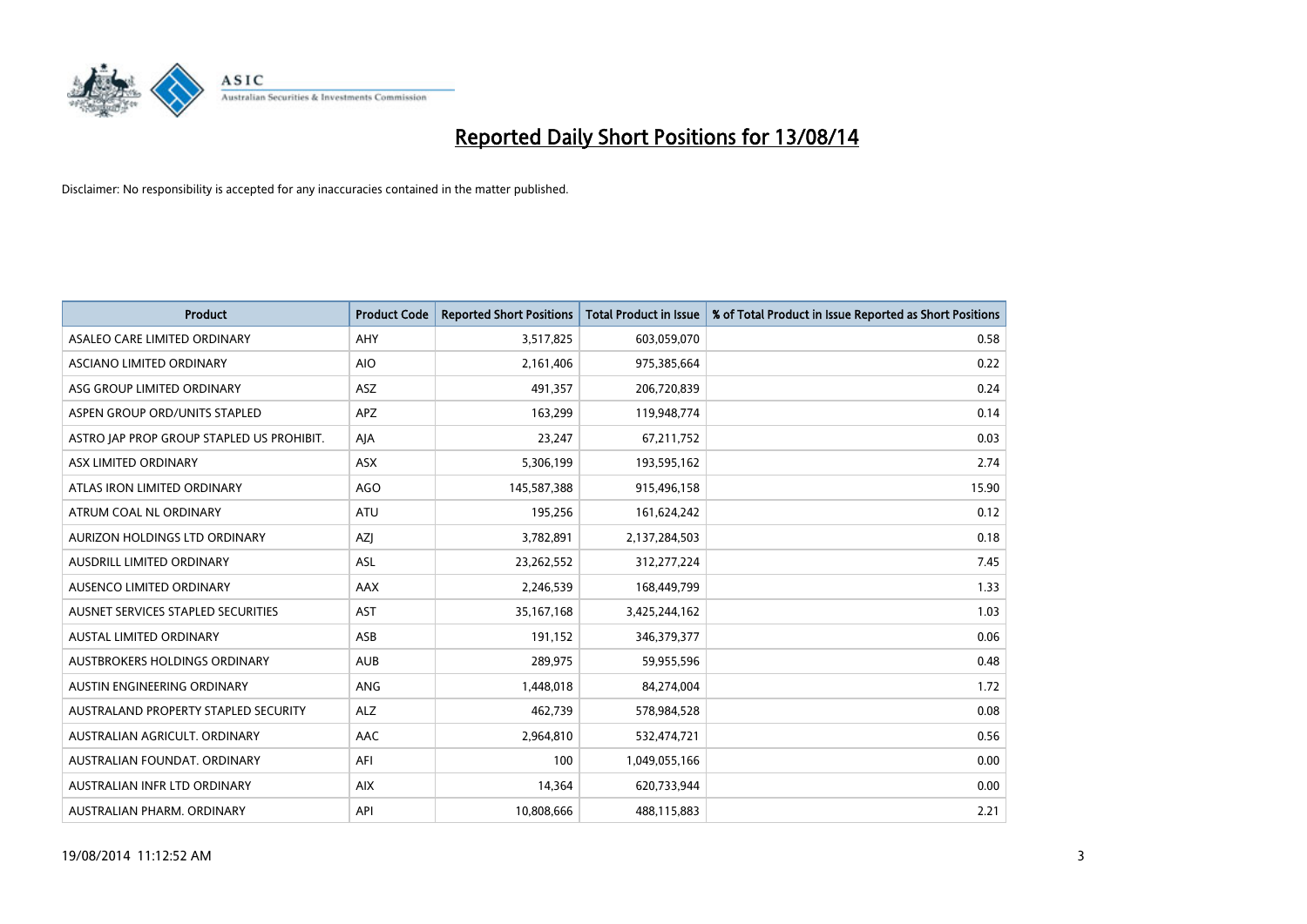

| <b>Product</b>                            | <b>Product Code</b> | <b>Reported Short Positions</b> | <b>Total Product in Issue</b> | % of Total Product in Issue Reported as Short Positions |
|-------------------------------------------|---------------------|---------------------------------|-------------------------------|---------------------------------------------------------|
| ASALEO CARE LIMITED ORDINARY              | AHY                 | 3,517,825                       | 603,059,070                   | 0.58                                                    |
| ASCIANO LIMITED ORDINARY                  | <b>AIO</b>          | 2,161,406                       | 975,385,664                   | 0.22                                                    |
| ASG GROUP LIMITED ORDINARY                | <b>ASZ</b>          | 491,357                         | 206,720,839                   | 0.24                                                    |
| ASPEN GROUP ORD/UNITS STAPLED             | APZ                 | 163,299                         | 119,948,774                   | 0.14                                                    |
| ASTRO JAP PROP GROUP STAPLED US PROHIBIT. | AJA                 | 23,247                          | 67,211,752                    | 0.03                                                    |
| ASX LIMITED ORDINARY                      | ASX                 | 5,306,199                       | 193,595,162                   | 2.74                                                    |
| ATLAS IRON LIMITED ORDINARY               | <b>AGO</b>          | 145,587,388                     | 915,496,158                   | 15.90                                                   |
| ATRUM COAL NL ORDINARY                    | ATU                 | 195,256                         | 161,624,242                   | 0.12                                                    |
| AURIZON HOLDINGS LTD ORDINARY             | AZJ                 | 3,782,891                       | 2,137,284,503                 | 0.18                                                    |
| AUSDRILL LIMITED ORDINARY                 | <b>ASL</b>          | 23,262,552                      | 312,277,224                   | 7.45                                                    |
| AUSENCO LIMITED ORDINARY                  | AAX                 | 2,246,539                       | 168,449,799                   | 1.33                                                    |
| AUSNET SERVICES STAPLED SECURITIES        | <b>AST</b>          | 35, 167, 168                    | 3,425,244,162                 | 1.03                                                    |
| AUSTAL LIMITED ORDINARY                   | ASB                 | 191,152                         | 346,379,377                   | 0.06                                                    |
| AUSTBROKERS HOLDINGS ORDINARY             | <b>AUB</b>          | 289,975                         | 59,955,596                    | 0.48                                                    |
| AUSTIN ENGINEERING ORDINARY               | ANG                 | 1,448,018                       | 84,274,004                    | 1.72                                                    |
| AUSTRALAND PROPERTY STAPLED SECURITY      | <b>ALZ</b>          | 462,739                         | 578,984,528                   | 0.08                                                    |
| AUSTRALIAN AGRICULT. ORDINARY             | AAC                 | 2,964,810                       | 532,474,721                   | 0.56                                                    |
| AUSTRALIAN FOUNDAT. ORDINARY              | AFI                 | 100                             | 1,049,055,166                 | 0.00                                                    |
| AUSTRALIAN INFR LTD ORDINARY              | <b>AIX</b>          | 14,364                          | 620,733,944                   | 0.00                                                    |
| AUSTRALIAN PHARM. ORDINARY                | API                 | 10,808,666                      | 488,115,883                   | 2.21                                                    |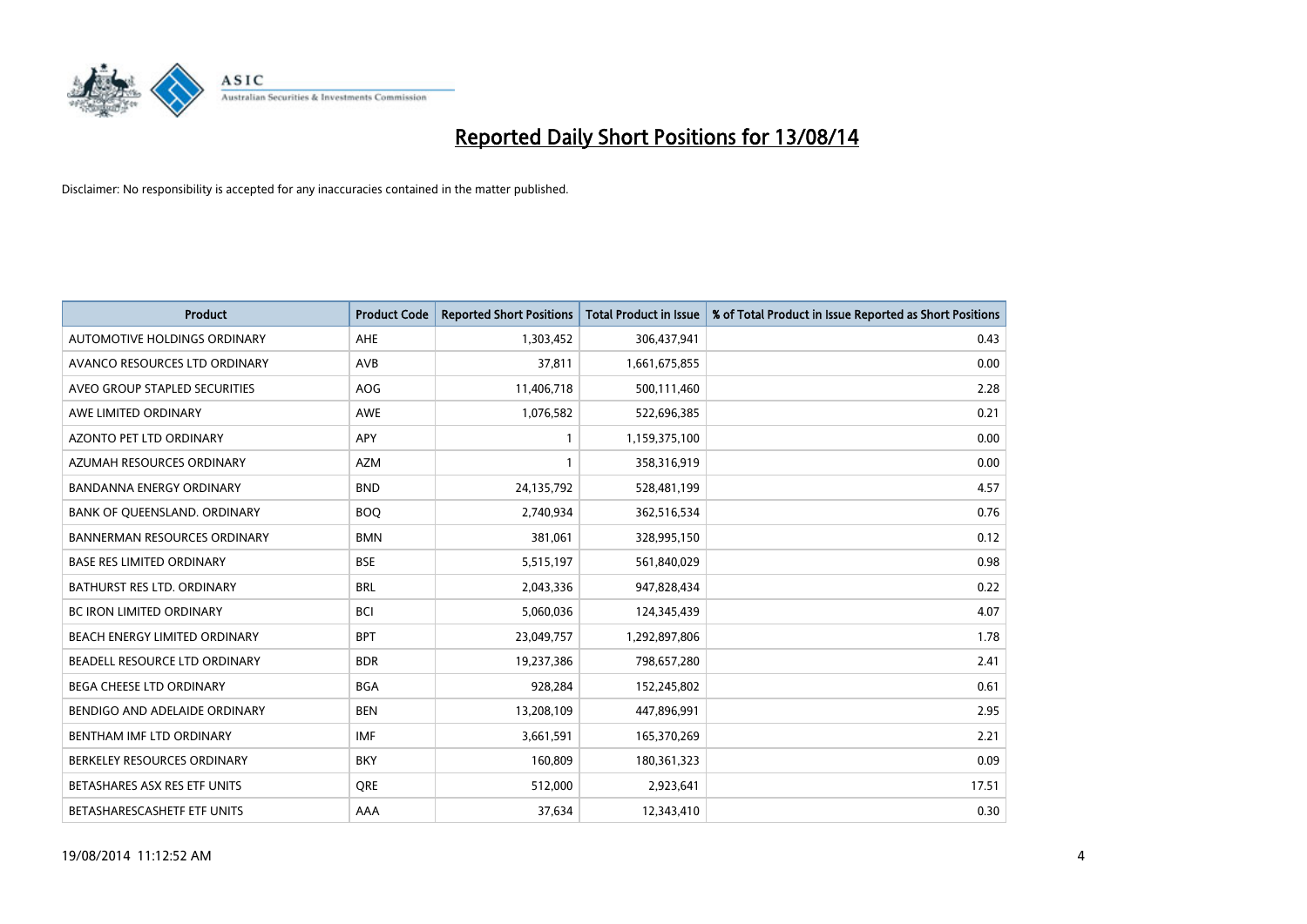

| <b>Product</b>                      | <b>Product Code</b> | <b>Reported Short Positions</b> | <b>Total Product in Issue</b> | % of Total Product in Issue Reported as Short Positions |
|-------------------------------------|---------------------|---------------------------------|-------------------------------|---------------------------------------------------------|
| AUTOMOTIVE HOLDINGS ORDINARY        | AHE                 | 1,303,452                       | 306,437,941                   | 0.43                                                    |
| AVANCO RESOURCES LTD ORDINARY       | AVB                 | 37,811                          | 1,661,675,855                 | 0.00                                                    |
| AVEO GROUP STAPLED SECURITIES       | <b>AOG</b>          | 11,406,718                      | 500,111,460                   | 2.28                                                    |
| AWE LIMITED ORDINARY                | AWE                 | 1,076,582                       | 522,696,385                   | 0.21                                                    |
| <b>AZONTO PET LTD ORDINARY</b>      | APY                 | 1                               | 1,159,375,100                 | 0.00                                                    |
| AZUMAH RESOURCES ORDINARY           | <b>AZM</b>          | 1                               | 358,316,919                   | 0.00                                                    |
| <b>BANDANNA ENERGY ORDINARY</b>     | <b>BND</b>          | 24,135,792                      | 528,481,199                   | 4.57                                                    |
| BANK OF QUEENSLAND. ORDINARY        | <b>BOO</b>          | 2,740,934                       | 362,516,534                   | 0.76                                                    |
| <b>BANNERMAN RESOURCES ORDINARY</b> | <b>BMN</b>          | 381,061                         | 328,995,150                   | 0.12                                                    |
| <b>BASE RES LIMITED ORDINARY</b>    | <b>BSE</b>          | 5,515,197                       | 561,840,029                   | 0.98                                                    |
| BATHURST RES LTD. ORDINARY          | <b>BRL</b>          | 2,043,336                       | 947,828,434                   | 0.22                                                    |
| <b>BC IRON LIMITED ORDINARY</b>     | <b>BCI</b>          | 5,060,036                       | 124,345,439                   | 4.07                                                    |
| BEACH ENERGY LIMITED ORDINARY       | <b>BPT</b>          | 23,049,757                      | 1,292,897,806                 | 1.78                                                    |
| BEADELL RESOURCE LTD ORDINARY       | <b>BDR</b>          | 19,237,386                      | 798,657,280                   | 2.41                                                    |
| BEGA CHEESE LTD ORDINARY            | <b>BGA</b>          | 928,284                         | 152,245,802                   | 0.61                                                    |
| BENDIGO AND ADELAIDE ORDINARY       | <b>BEN</b>          | 13,208,109                      | 447,896,991                   | 2.95                                                    |
| BENTHAM IMF LTD ORDINARY            | <b>IMF</b>          | 3,661,591                       | 165,370,269                   | 2.21                                                    |
| BERKELEY RESOURCES ORDINARY         | <b>BKY</b>          | 160,809                         | 180,361,323                   | 0.09                                                    |
| BETASHARES ASX RES ETF UNITS        | <b>ORE</b>          | 512,000                         | 2,923,641                     | 17.51                                                   |
| BETASHARESCASHETF ETF UNITS         | AAA                 | 37,634                          | 12,343,410                    | 0.30                                                    |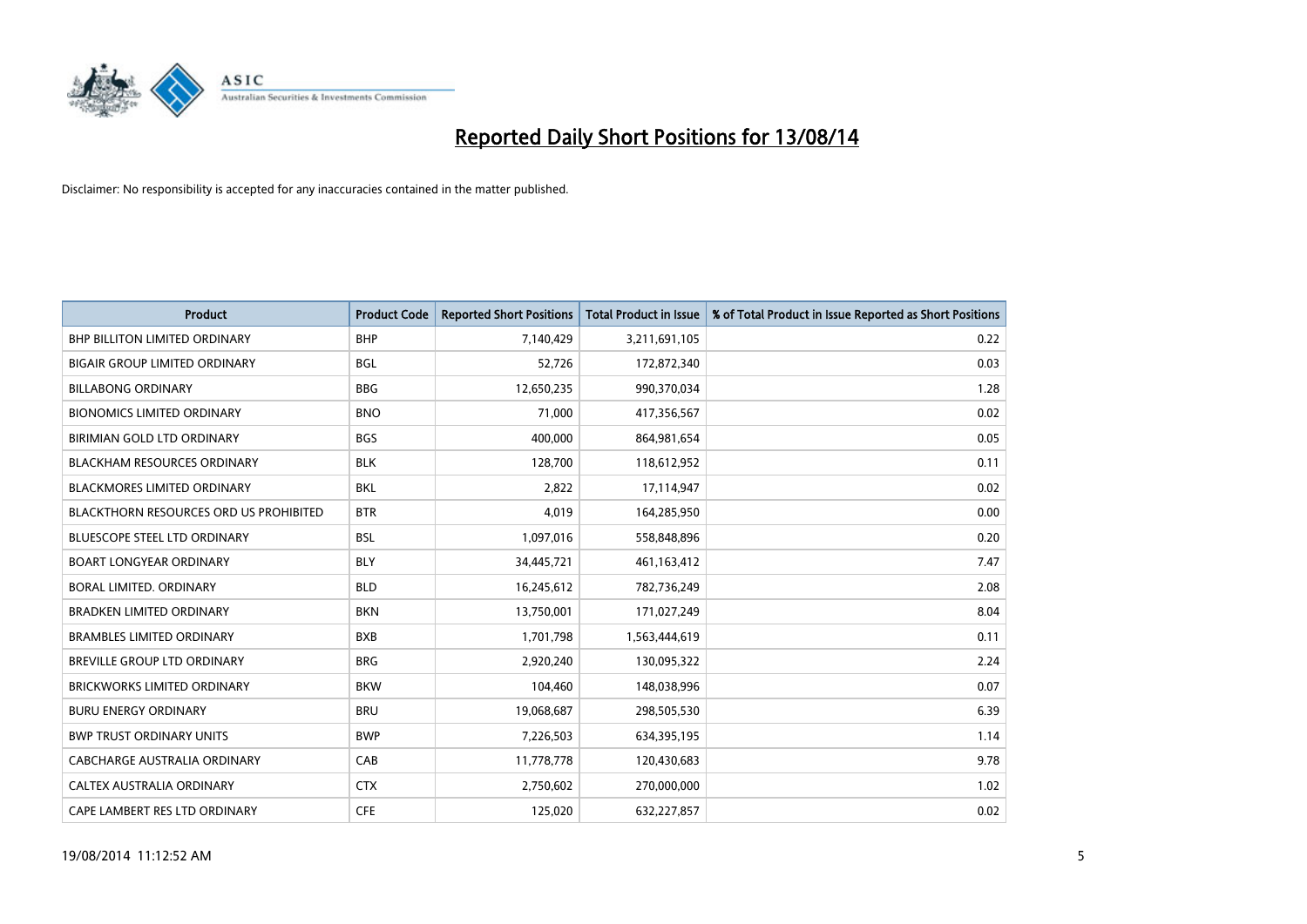

| <b>Product</b>                                | <b>Product Code</b> | <b>Reported Short Positions</b> | <b>Total Product in Issue</b> | % of Total Product in Issue Reported as Short Positions |
|-----------------------------------------------|---------------------|---------------------------------|-------------------------------|---------------------------------------------------------|
| <b>BHP BILLITON LIMITED ORDINARY</b>          | <b>BHP</b>          | 7,140,429                       | 3,211,691,105                 | 0.22                                                    |
| BIGAIR GROUP LIMITED ORDINARY                 | <b>BGL</b>          | 52,726                          | 172,872,340                   | 0.03                                                    |
| <b>BILLABONG ORDINARY</b>                     | <b>BBG</b>          | 12,650,235                      | 990,370,034                   | 1.28                                                    |
| <b>BIONOMICS LIMITED ORDINARY</b>             | <b>BNO</b>          | 71,000                          | 417,356,567                   | 0.02                                                    |
| <b>BIRIMIAN GOLD LTD ORDINARY</b>             | <b>BGS</b>          | 400,000                         | 864,981,654                   | 0.05                                                    |
| <b>BLACKHAM RESOURCES ORDINARY</b>            | <b>BLK</b>          | 128,700                         | 118,612,952                   | 0.11                                                    |
| <b>BLACKMORES LIMITED ORDINARY</b>            | <b>BKL</b>          | 2,822                           | 17,114,947                    | 0.02                                                    |
| <b>BLACKTHORN RESOURCES ORD US PROHIBITED</b> | <b>BTR</b>          | 4,019                           | 164,285,950                   | 0.00                                                    |
| BLUESCOPE STEEL LTD ORDINARY                  | <b>BSL</b>          | 1,097,016                       | 558,848,896                   | 0.20                                                    |
| <b>BOART LONGYEAR ORDINARY</b>                | <b>BLY</b>          | 34,445,721                      | 461,163,412                   | 7.47                                                    |
| BORAL LIMITED, ORDINARY                       | <b>BLD</b>          | 16,245,612                      | 782,736,249                   | 2.08                                                    |
| BRADKEN LIMITED ORDINARY                      | <b>BKN</b>          | 13,750,001                      | 171,027,249                   | 8.04                                                    |
| <b>BRAMBLES LIMITED ORDINARY</b>              | <b>BXB</b>          | 1,701,798                       | 1,563,444,619                 | 0.11                                                    |
| <b>BREVILLE GROUP LTD ORDINARY</b>            | <b>BRG</b>          | 2,920,240                       | 130,095,322                   | 2.24                                                    |
| <b>BRICKWORKS LIMITED ORDINARY</b>            | <b>BKW</b>          | 104,460                         | 148,038,996                   | 0.07                                                    |
| <b>BURU ENERGY ORDINARY</b>                   | <b>BRU</b>          | 19,068,687                      | 298,505,530                   | 6.39                                                    |
| <b>BWP TRUST ORDINARY UNITS</b>               | <b>BWP</b>          | 7,226,503                       | 634,395,195                   | 1.14                                                    |
| CABCHARGE AUSTRALIA ORDINARY                  | CAB                 | 11,778,778                      | 120,430,683                   | 9.78                                                    |
| <b>CALTEX AUSTRALIA ORDINARY</b>              | <b>CTX</b>          | 2,750,602                       | 270,000,000                   | 1.02                                                    |
| CAPE LAMBERT RES LTD ORDINARY                 | <b>CFE</b>          | 125,020                         | 632,227,857                   | 0.02                                                    |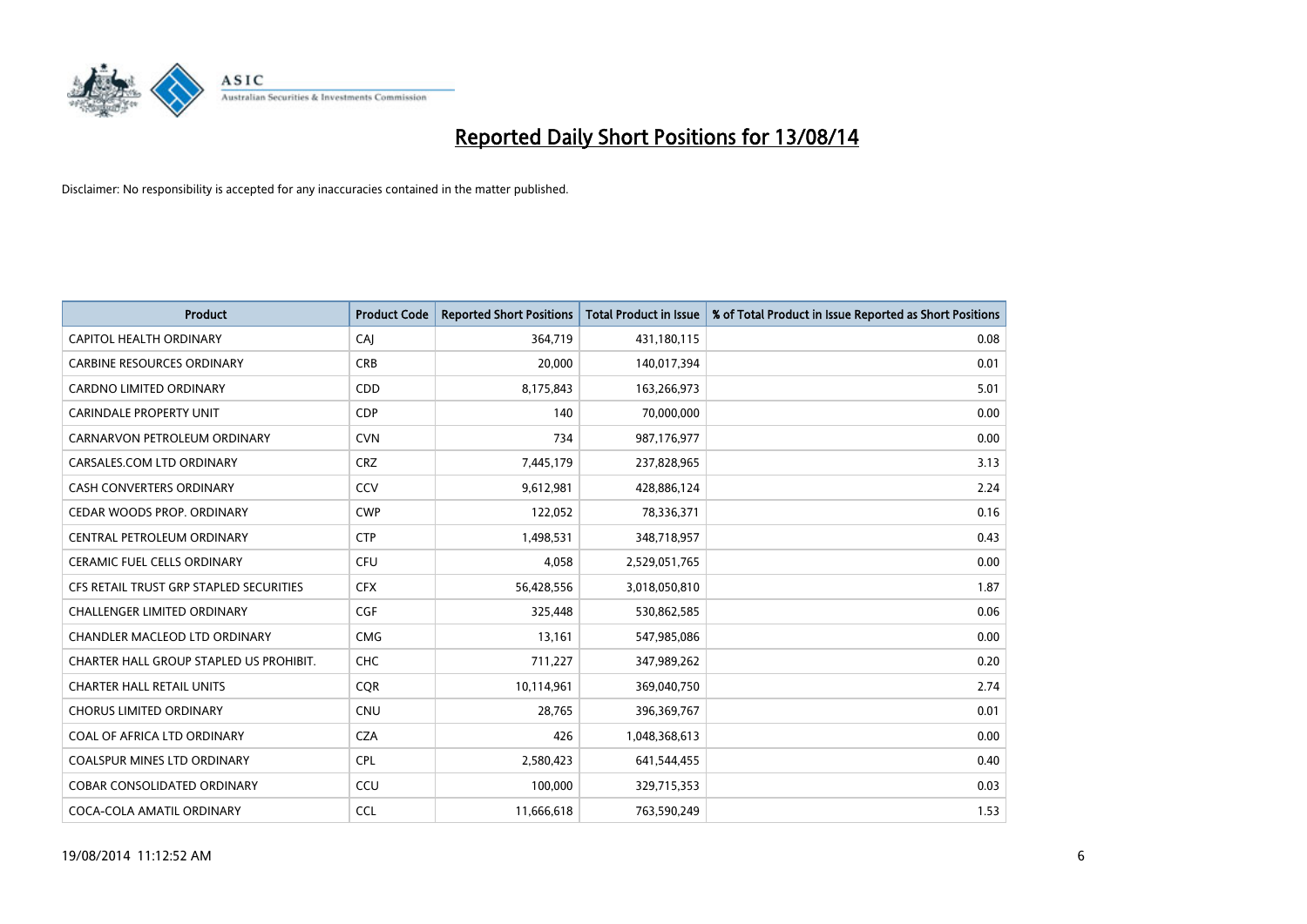

| <b>Product</b>                          | <b>Product Code</b> | <b>Reported Short Positions</b> | <b>Total Product in Issue</b> | % of Total Product in Issue Reported as Short Positions |
|-----------------------------------------|---------------------|---------------------------------|-------------------------------|---------------------------------------------------------|
| <b>CAPITOL HEALTH ORDINARY</b>          | CAJ                 | 364,719                         | 431,180,115                   | 0.08                                                    |
| <b>CARBINE RESOURCES ORDINARY</b>       | <b>CRB</b>          | 20,000                          | 140,017,394                   | 0.01                                                    |
| <b>CARDNO LIMITED ORDINARY</b>          | CDD                 | 8,175,843                       | 163,266,973                   | 5.01                                                    |
| <b>CARINDALE PROPERTY UNIT</b>          | <b>CDP</b>          | 140                             | 70,000,000                    | 0.00                                                    |
| CARNARVON PETROLEUM ORDINARY            | <b>CVN</b>          | 734                             | 987,176,977                   | 0.00                                                    |
| CARSALES.COM LTD ORDINARY               | <b>CRZ</b>          | 7,445,179                       | 237,828,965                   | 3.13                                                    |
| <b>CASH CONVERTERS ORDINARY</b>         | CCV                 | 9,612,981                       | 428,886,124                   | 2.24                                                    |
| CEDAR WOODS PROP. ORDINARY              | <b>CWP</b>          | 122,052                         | 78,336,371                    | 0.16                                                    |
| CENTRAL PETROLEUM ORDINARY              | <b>CTP</b>          | 1,498,531                       | 348,718,957                   | 0.43                                                    |
| <b>CERAMIC FUEL CELLS ORDINARY</b>      | <b>CFU</b>          | 4,058                           | 2,529,051,765                 | 0.00                                                    |
| CFS RETAIL TRUST GRP STAPLED SECURITIES | <b>CFX</b>          | 56,428,556                      | 3,018,050,810                 | 1.87                                                    |
| <b>CHALLENGER LIMITED ORDINARY</b>      | <b>CGF</b>          | 325,448                         | 530,862,585                   | 0.06                                                    |
| CHANDLER MACLEOD LTD ORDINARY           | <b>CMG</b>          | 13,161                          | 547,985,086                   | 0.00                                                    |
| CHARTER HALL GROUP STAPLED US PROHIBIT. | <b>CHC</b>          | 711,227                         | 347,989,262                   | 0.20                                                    |
| <b>CHARTER HALL RETAIL UNITS</b>        | CQR                 | 10,114,961                      | 369,040,750                   | 2.74                                                    |
| <b>CHORUS LIMITED ORDINARY</b>          | <b>CNU</b>          | 28,765                          | 396,369,767                   | 0.01                                                    |
| COAL OF AFRICA LTD ORDINARY             | <b>CZA</b>          | 426                             | 1,048,368,613                 | 0.00                                                    |
| <b>COALSPUR MINES LTD ORDINARY</b>      | <b>CPL</b>          | 2,580,423                       | 641,544,455                   | 0.40                                                    |
| <b>COBAR CONSOLIDATED ORDINARY</b>      | CCU                 | 100,000                         | 329,715,353                   | 0.03                                                    |
| COCA-COLA AMATIL ORDINARY               | <b>CCL</b>          | 11,666,618                      | 763,590,249                   | 1.53                                                    |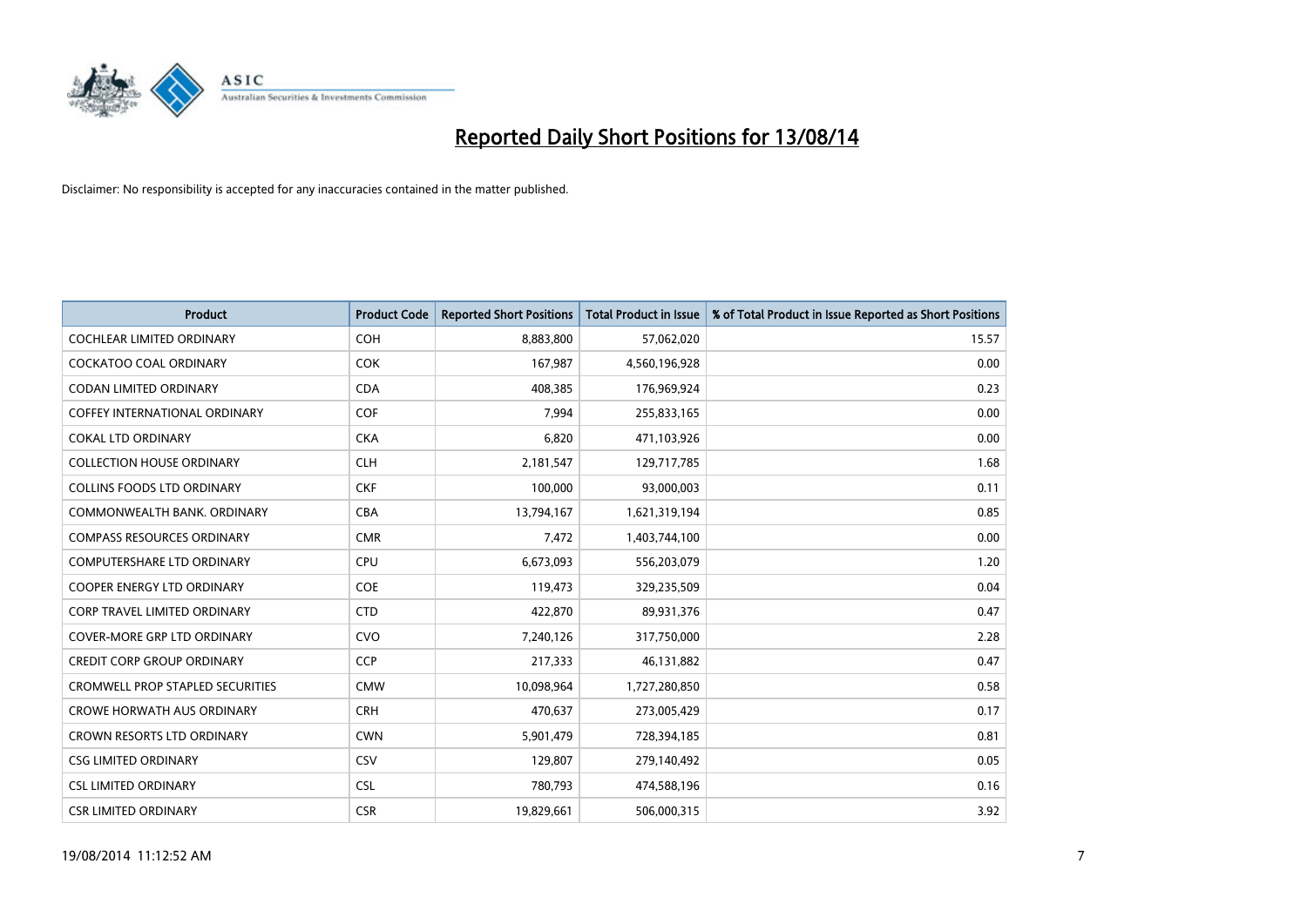

| <b>Product</b>                          | <b>Product Code</b> | <b>Reported Short Positions</b> | <b>Total Product in Issue</b> | % of Total Product in Issue Reported as Short Positions |
|-----------------------------------------|---------------------|---------------------------------|-------------------------------|---------------------------------------------------------|
| <b>COCHLEAR LIMITED ORDINARY</b>        | <b>COH</b>          | 8,883,800                       | 57,062,020                    | 15.57                                                   |
| COCKATOO COAL ORDINARY                  | <b>COK</b>          | 167,987                         | 4,560,196,928                 | 0.00                                                    |
| <b>CODAN LIMITED ORDINARY</b>           | <b>CDA</b>          | 408,385                         | 176,969,924                   | 0.23                                                    |
| <b>COFFEY INTERNATIONAL ORDINARY</b>    | <b>COF</b>          | 7,994                           | 255,833,165                   | 0.00                                                    |
| <b>COKAL LTD ORDINARY</b>               | <b>CKA</b>          | 6,820                           | 471,103,926                   | 0.00                                                    |
| <b>COLLECTION HOUSE ORDINARY</b>        | <b>CLH</b>          | 2,181,547                       | 129,717,785                   | 1.68                                                    |
| <b>COLLINS FOODS LTD ORDINARY</b>       | <b>CKF</b>          | 100,000                         | 93,000,003                    | 0.11                                                    |
| COMMONWEALTH BANK, ORDINARY             | <b>CBA</b>          | 13,794,167                      | 1,621,319,194                 | 0.85                                                    |
| <b>COMPASS RESOURCES ORDINARY</b>       | <b>CMR</b>          | 7,472                           | 1,403,744,100                 | 0.00                                                    |
| <b>COMPUTERSHARE LTD ORDINARY</b>       | <b>CPU</b>          | 6,673,093                       | 556,203,079                   | 1.20                                                    |
| COOPER ENERGY LTD ORDINARY              | <b>COE</b>          | 119,473                         | 329,235,509                   | 0.04                                                    |
| <b>CORP TRAVEL LIMITED ORDINARY</b>     | <b>CTD</b>          | 422,870                         | 89,931,376                    | 0.47                                                    |
| COVER-MORE GRP LTD ORDINARY             | <b>CVO</b>          | 7,240,126                       | 317,750,000                   | 2.28                                                    |
| <b>CREDIT CORP GROUP ORDINARY</b>       | <b>CCP</b>          | 217,333                         | 46,131,882                    | 0.47                                                    |
| <b>CROMWELL PROP STAPLED SECURITIES</b> | <b>CMW</b>          | 10,098,964                      | 1,727,280,850                 | 0.58                                                    |
| <b>CROWE HORWATH AUS ORDINARY</b>       | <b>CRH</b>          | 470,637                         | 273,005,429                   | 0.17                                                    |
| CROWN RESORTS LTD ORDINARY              | <b>CWN</b>          | 5,901,479                       | 728,394,185                   | 0.81                                                    |
| <b>CSG LIMITED ORDINARY</b>             | CSV                 | 129,807                         | 279,140,492                   | 0.05                                                    |
| <b>CSL LIMITED ORDINARY</b>             | <b>CSL</b>          | 780,793                         | 474,588,196                   | 0.16                                                    |
| <b>CSR LIMITED ORDINARY</b>             | <b>CSR</b>          | 19,829,661                      | 506,000,315                   | 3.92                                                    |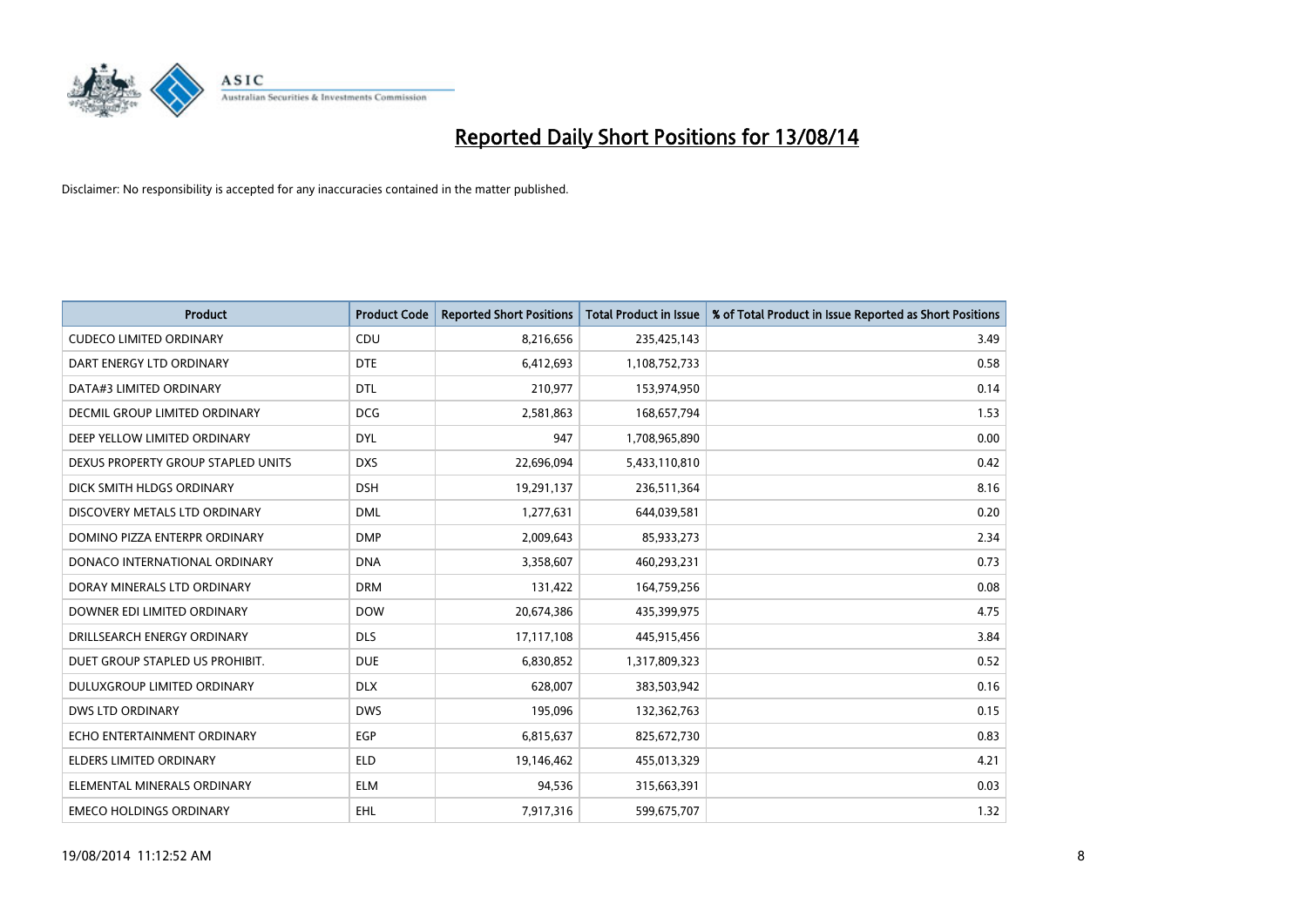

| <b>Product</b>                     | <b>Product Code</b> | <b>Reported Short Positions</b> | <b>Total Product in Issue</b> | % of Total Product in Issue Reported as Short Positions |
|------------------------------------|---------------------|---------------------------------|-------------------------------|---------------------------------------------------------|
| <b>CUDECO LIMITED ORDINARY</b>     | CDU                 | 8,216,656                       | 235,425,143                   | 3.49                                                    |
| DART ENERGY LTD ORDINARY           | <b>DTE</b>          | 6,412,693                       | 1,108,752,733                 | 0.58                                                    |
| DATA#3 LIMITED ORDINARY            | <b>DTL</b>          | 210,977                         | 153,974,950                   | 0.14                                                    |
| DECMIL GROUP LIMITED ORDINARY      | <b>DCG</b>          | 2,581,863                       | 168,657,794                   | 1.53                                                    |
| DEEP YELLOW LIMITED ORDINARY       | <b>DYL</b>          | 947                             | 1,708,965,890                 | 0.00                                                    |
| DEXUS PROPERTY GROUP STAPLED UNITS | <b>DXS</b>          | 22,696,094                      | 5,433,110,810                 | 0.42                                                    |
| DICK SMITH HLDGS ORDINARY          | <b>DSH</b>          | 19,291,137                      | 236,511,364                   | 8.16                                                    |
| DISCOVERY METALS LTD ORDINARY      | <b>DML</b>          | 1,277,631                       | 644,039,581                   | 0.20                                                    |
| DOMINO PIZZA ENTERPR ORDINARY      | <b>DMP</b>          | 2,009,643                       | 85,933,273                    | 2.34                                                    |
| DONACO INTERNATIONAL ORDINARY      | <b>DNA</b>          | 3,358,607                       | 460,293,231                   | 0.73                                                    |
| DORAY MINERALS LTD ORDINARY        | <b>DRM</b>          | 131,422                         | 164,759,256                   | 0.08                                                    |
| DOWNER EDI LIMITED ORDINARY        | <b>DOW</b>          | 20,674,386                      | 435,399,975                   | 4.75                                                    |
| DRILLSEARCH ENERGY ORDINARY        | <b>DLS</b>          | 17,117,108                      | 445,915,456                   | 3.84                                                    |
| DUET GROUP STAPLED US PROHIBIT.    | <b>DUE</b>          | 6,830,852                       | 1,317,809,323                 | 0.52                                                    |
| DULUXGROUP LIMITED ORDINARY        | <b>DLX</b>          | 628,007                         | 383,503,942                   | 0.16                                                    |
| DWS LTD ORDINARY                   | <b>DWS</b>          | 195,096                         | 132,362,763                   | 0.15                                                    |
| ECHO ENTERTAINMENT ORDINARY        | <b>EGP</b>          | 6,815,637                       | 825,672,730                   | 0.83                                                    |
| <b>ELDERS LIMITED ORDINARY</b>     | <b>ELD</b>          | 19,146,462                      | 455,013,329                   | 4.21                                                    |
| ELEMENTAL MINERALS ORDINARY        | <b>ELM</b>          | 94,536                          | 315,663,391                   | 0.03                                                    |
| <b>EMECO HOLDINGS ORDINARY</b>     | EHL                 | 7,917,316                       | 599,675,707                   | 1.32                                                    |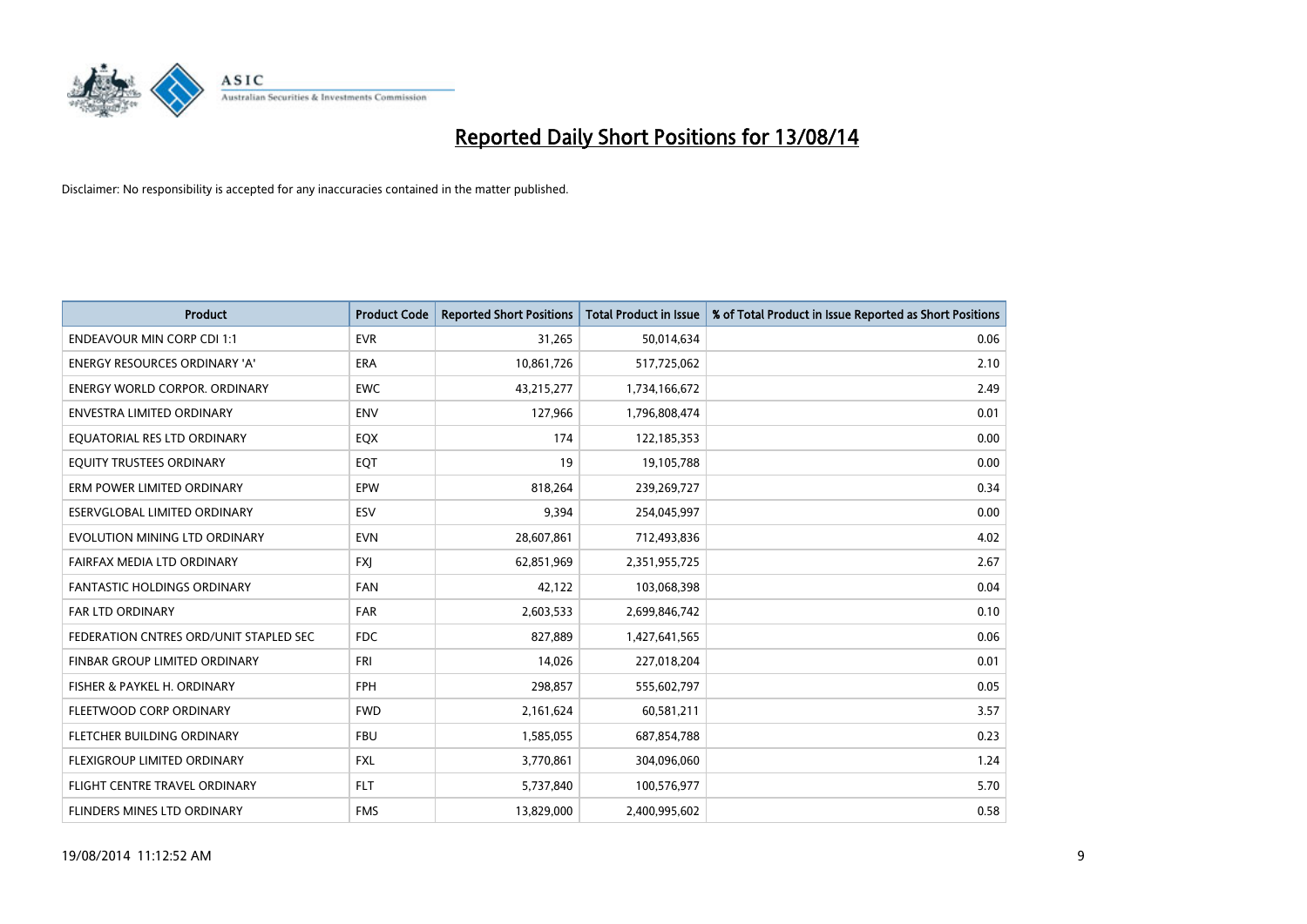

| <b>Product</b>                         | <b>Product Code</b> | <b>Reported Short Positions</b> | <b>Total Product in Issue</b> | % of Total Product in Issue Reported as Short Positions |
|----------------------------------------|---------------------|---------------------------------|-------------------------------|---------------------------------------------------------|
| <b>ENDEAVOUR MIN CORP CDI 1:1</b>      | <b>EVR</b>          | 31,265                          | 50,014,634                    | 0.06                                                    |
| ENERGY RESOURCES ORDINARY 'A'          | ERA                 | 10,861,726                      | 517,725,062                   | 2.10                                                    |
| <b>ENERGY WORLD CORPOR, ORDINARY</b>   | <b>EWC</b>          | 43,215,277                      | 1,734,166,672                 | 2.49                                                    |
| <b>ENVESTRA LIMITED ORDINARY</b>       | <b>ENV</b>          | 127,966                         | 1,796,808,474                 | 0.01                                                    |
| EQUATORIAL RES LTD ORDINARY            | EQX                 | 174                             | 122,185,353                   | 0.00                                                    |
| EQUITY TRUSTEES ORDINARY               | EQT                 | 19                              | 19,105,788                    | 0.00                                                    |
| ERM POWER LIMITED ORDINARY             | <b>EPW</b>          | 818,264                         | 239,269,727                   | 0.34                                                    |
| ESERVGLOBAL LIMITED ORDINARY           | ESV                 | 9,394                           | 254,045,997                   | 0.00                                                    |
| EVOLUTION MINING LTD ORDINARY          | <b>EVN</b>          | 28,607,861                      | 712,493,836                   | 4.02                                                    |
| FAIRFAX MEDIA LTD ORDINARY             | <b>FXI</b>          | 62,851,969                      | 2,351,955,725                 | 2.67                                                    |
| FANTASTIC HOLDINGS ORDINARY            | FAN                 | 42,122                          | 103,068,398                   | 0.04                                                    |
| <b>FAR LTD ORDINARY</b>                | <b>FAR</b>          | 2,603,533                       | 2,699,846,742                 | 0.10                                                    |
| FEDERATION CNTRES ORD/UNIT STAPLED SEC | <b>FDC</b>          | 827,889                         | 1,427,641,565                 | 0.06                                                    |
| FINBAR GROUP LIMITED ORDINARY          | <b>FRI</b>          | 14,026                          | 227,018,204                   | 0.01                                                    |
| FISHER & PAYKEL H. ORDINARY            | <b>FPH</b>          | 298,857                         | 555,602,797                   | 0.05                                                    |
| FLEETWOOD CORP ORDINARY                | <b>FWD</b>          | 2,161,624                       | 60,581,211                    | 3.57                                                    |
| FLETCHER BUILDING ORDINARY             | <b>FBU</b>          | 1,585,055                       | 687,854,788                   | 0.23                                                    |
| FLEXIGROUP LIMITED ORDINARY            | <b>FXL</b>          | 3,770,861                       | 304,096,060                   | 1.24                                                    |
| FLIGHT CENTRE TRAVEL ORDINARY          | <b>FLT</b>          | 5,737,840                       | 100,576,977                   | 5.70                                                    |
| FLINDERS MINES LTD ORDINARY            | <b>FMS</b>          | 13,829,000                      | 2,400,995,602                 | 0.58                                                    |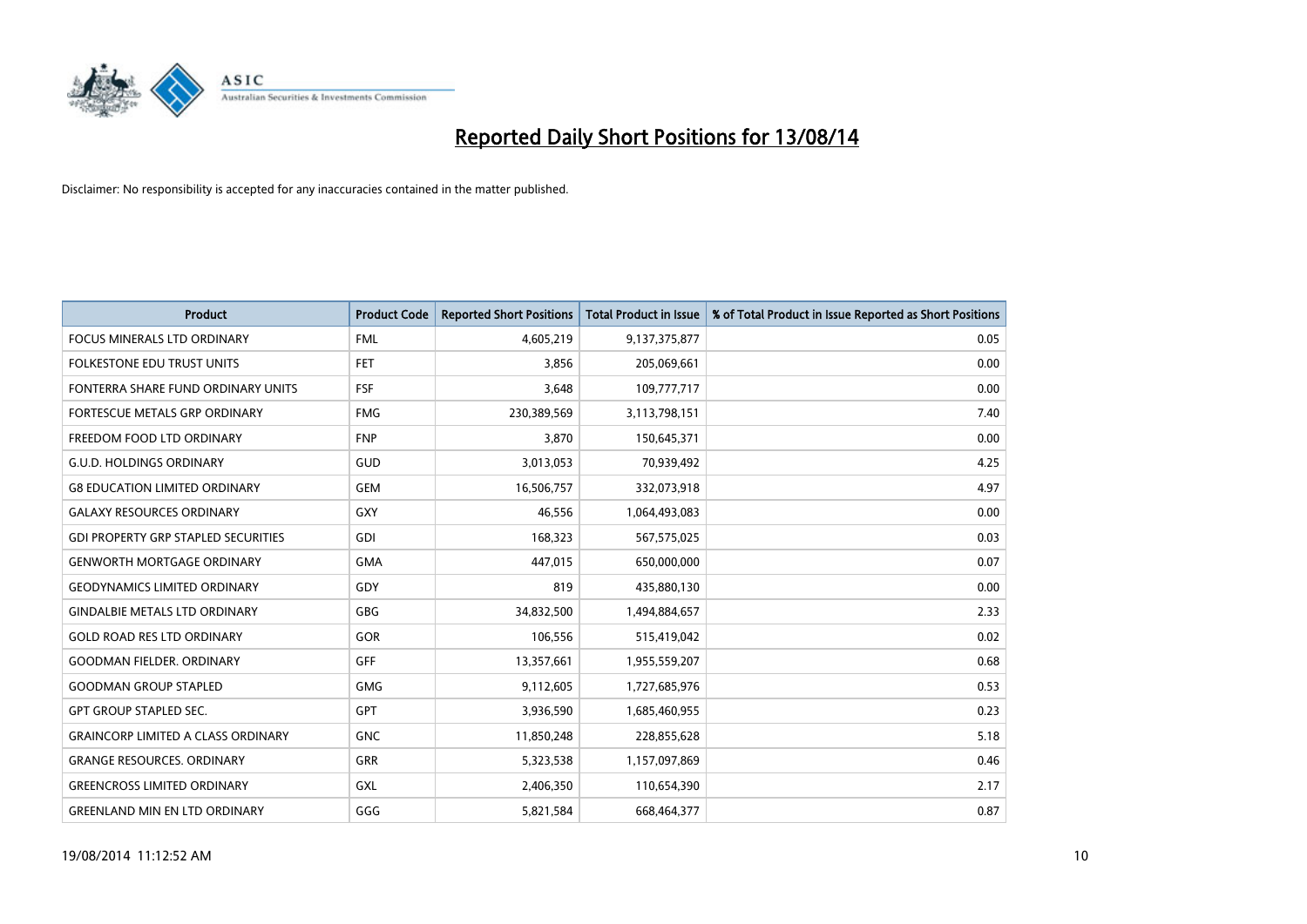

| Product                                    | <b>Product Code</b> | <b>Reported Short Positions</b> | <b>Total Product in Issue</b> | % of Total Product in Issue Reported as Short Positions |
|--------------------------------------------|---------------------|---------------------------------|-------------------------------|---------------------------------------------------------|
| <b>FOCUS MINERALS LTD ORDINARY</b>         | <b>FML</b>          | 4,605,219                       | 9,137,375,877                 | 0.05                                                    |
| <b>FOLKESTONE EDU TRUST UNITS</b>          | <b>FET</b>          | 3,856                           | 205,069,661                   | 0.00                                                    |
| FONTERRA SHARE FUND ORDINARY UNITS         | <b>FSF</b>          | 3,648                           | 109,777,717                   | 0.00                                                    |
| FORTESCUE METALS GRP ORDINARY              | <b>FMG</b>          | 230,389,569                     | 3,113,798,151                 | 7.40                                                    |
| FREEDOM FOOD LTD ORDINARY                  | <b>FNP</b>          | 3,870                           | 150,645,371                   | 0.00                                                    |
| <b>G.U.D. HOLDINGS ORDINARY</b>            | GUD                 | 3,013,053                       | 70,939,492                    | 4.25                                                    |
| <b>G8 EDUCATION LIMITED ORDINARY</b>       | <b>GEM</b>          | 16,506,757                      | 332,073,918                   | 4.97                                                    |
| <b>GALAXY RESOURCES ORDINARY</b>           | GXY                 | 46,556                          | 1,064,493,083                 | 0.00                                                    |
| <b>GDI PROPERTY GRP STAPLED SECURITIES</b> | GDI                 | 168,323                         | 567,575,025                   | 0.03                                                    |
| <b>GENWORTH MORTGAGE ORDINARY</b>          | <b>GMA</b>          | 447,015                         | 650,000,000                   | 0.07                                                    |
| <b>GEODYNAMICS LIMITED ORDINARY</b>        | GDY                 | 819                             | 435,880,130                   | 0.00                                                    |
| <b>GINDALBIE METALS LTD ORDINARY</b>       | GBG                 | 34,832,500                      | 1,494,884,657                 | 2.33                                                    |
| <b>GOLD ROAD RES LTD ORDINARY</b>          | GOR                 | 106,556                         | 515,419,042                   | 0.02                                                    |
| <b>GOODMAN FIELDER, ORDINARY</b>           | <b>GFF</b>          | 13,357,661                      | 1,955,559,207                 | 0.68                                                    |
| <b>GOODMAN GROUP STAPLED</b>               | <b>GMG</b>          | 9,112,605                       | 1,727,685,976                 | 0.53                                                    |
| <b>GPT GROUP STAPLED SEC.</b>              | <b>GPT</b>          | 3,936,590                       | 1,685,460,955                 | 0.23                                                    |
| <b>GRAINCORP LIMITED A CLASS ORDINARY</b>  | <b>GNC</b>          | 11,850,248                      | 228,855,628                   | 5.18                                                    |
| <b>GRANGE RESOURCES. ORDINARY</b>          | GRR                 | 5,323,538                       | 1,157,097,869                 | 0.46                                                    |
| <b>GREENCROSS LIMITED ORDINARY</b>         | GXL                 | 2,406,350                       | 110,654,390                   | 2.17                                                    |
| <b>GREENLAND MIN EN LTD ORDINARY</b>       | GGG                 | 5,821,584                       | 668.464.377                   | 0.87                                                    |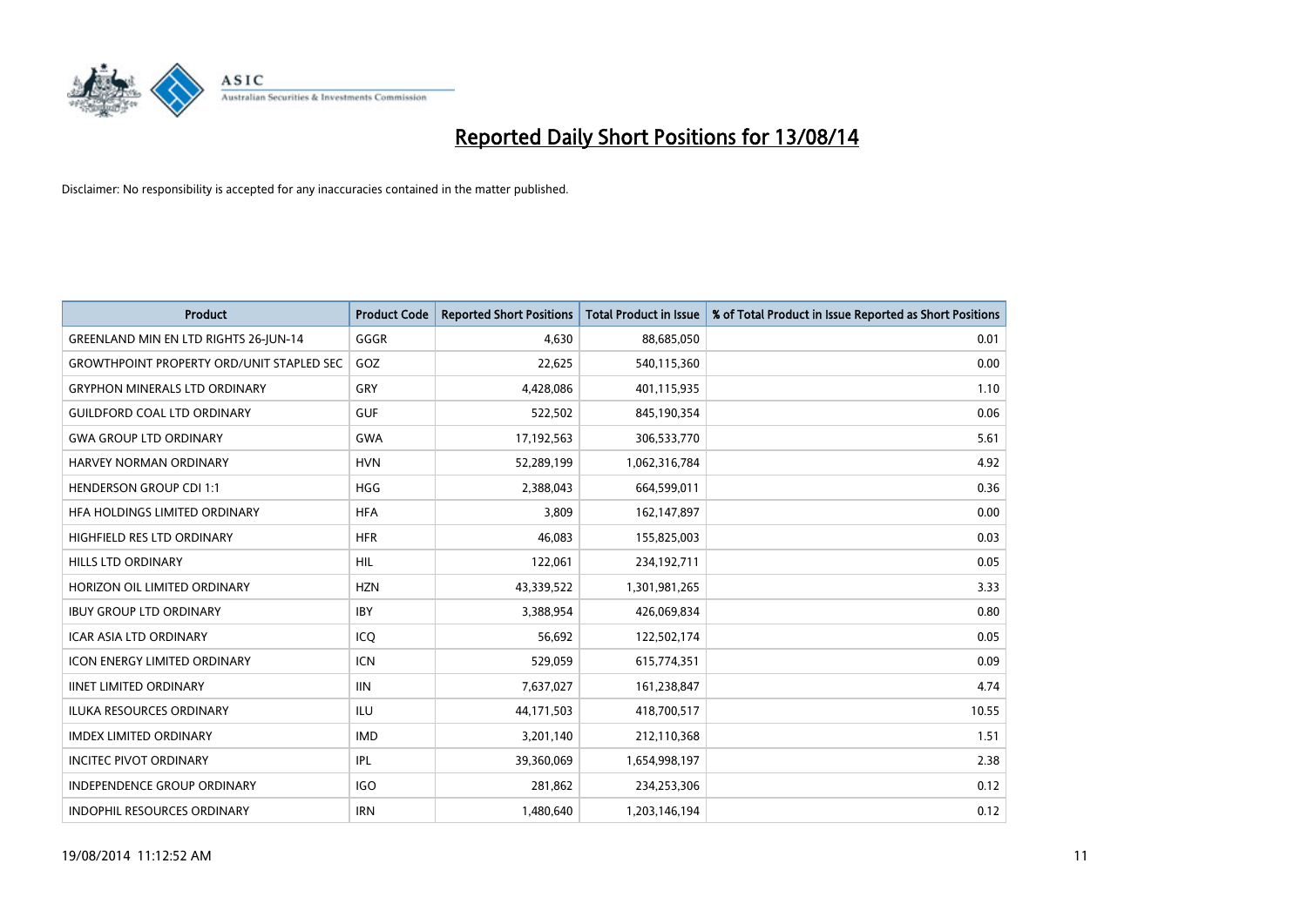

| <b>Product</b>                                   | <b>Product Code</b> | <b>Reported Short Positions</b> | <b>Total Product in Issue</b> | % of Total Product in Issue Reported as Short Positions |
|--------------------------------------------------|---------------------|---------------------------------|-------------------------------|---------------------------------------------------------|
| <b>GREENLAND MIN EN LTD RIGHTS 26-JUN-14</b>     | GGGR                | 4,630                           | 88,685,050                    | 0.01                                                    |
| <b>GROWTHPOINT PROPERTY ORD/UNIT STAPLED SEC</b> | GOZ                 | 22,625                          | 540,115,360                   | 0.00                                                    |
| <b>GRYPHON MINERALS LTD ORDINARY</b>             | GRY                 | 4,428,086                       | 401,115,935                   | 1.10                                                    |
| <b>GUILDFORD COAL LTD ORDINARY</b>               | <b>GUF</b>          | 522,502                         | 845,190,354                   | 0.06                                                    |
| <b>GWA GROUP LTD ORDINARY</b>                    | <b>GWA</b>          | 17,192,563                      | 306,533,770                   | 5.61                                                    |
| HARVEY NORMAN ORDINARY                           | <b>HVN</b>          | 52,289,199                      | 1,062,316,784                 | 4.92                                                    |
| <b>HENDERSON GROUP CDI 1:1</b>                   | <b>HGG</b>          | 2,388,043                       | 664,599,011                   | 0.36                                                    |
| HFA HOLDINGS LIMITED ORDINARY                    | <b>HFA</b>          | 3,809                           | 162,147,897                   | 0.00                                                    |
| HIGHFIELD RES LTD ORDINARY                       | <b>HFR</b>          | 46,083                          | 155,825,003                   | 0.03                                                    |
| <b>HILLS LTD ORDINARY</b>                        | <b>HIL</b>          | 122,061                         | 234,192,711                   | 0.05                                                    |
| HORIZON OIL LIMITED ORDINARY                     | <b>HZN</b>          | 43,339,522                      | 1,301,981,265                 | 3.33                                                    |
| <b>IBUY GROUP LTD ORDINARY</b>                   | <b>IBY</b>          | 3,388,954                       | 426,069,834                   | 0.80                                                    |
| <b>ICAR ASIA LTD ORDINARY</b>                    | ICQ                 | 56.692                          | 122,502,174                   | 0.05                                                    |
| <b>ICON ENERGY LIMITED ORDINARY</b>              | <b>ICN</b>          | 529,059                         | 615,774,351                   | 0.09                                                    |
| <b>IINET LIMITED ORDINARY</b>                    | <b>IIN</b>          | 7,637,027                       | 161,238,847                   | 4.74                                                    |
| <b>ILUKA RESOURCES ORDINARY</b>                  | <b>ILU</b>          | 44,171,503                      | 418,700,517                   | 10.55                                                   |
| <b>IMDEX LIMITED ORDINARY</b>                    | <b>IMD</b>          | 3,201,140                       | 212,110,368                   | 1.51                                                    |
| <b>INCITEC PIVOT ORDINARY</b>                    | IPL                 | 39,360,069                      | 1,654,998,197                 | 2.38                                                    |
| <b>INDEPENDENCE GROUP ORDINARY</b>               | <b>IGO</b>          | 281,862                         | 234,253,306                   | 0.12                                                    |
| <b>INDOPHIL RESOURCES ORDINARY</b>               | <b>IRN</b>          | 1,480,640                       | 1,203,146,194                 | 0.12                                                    |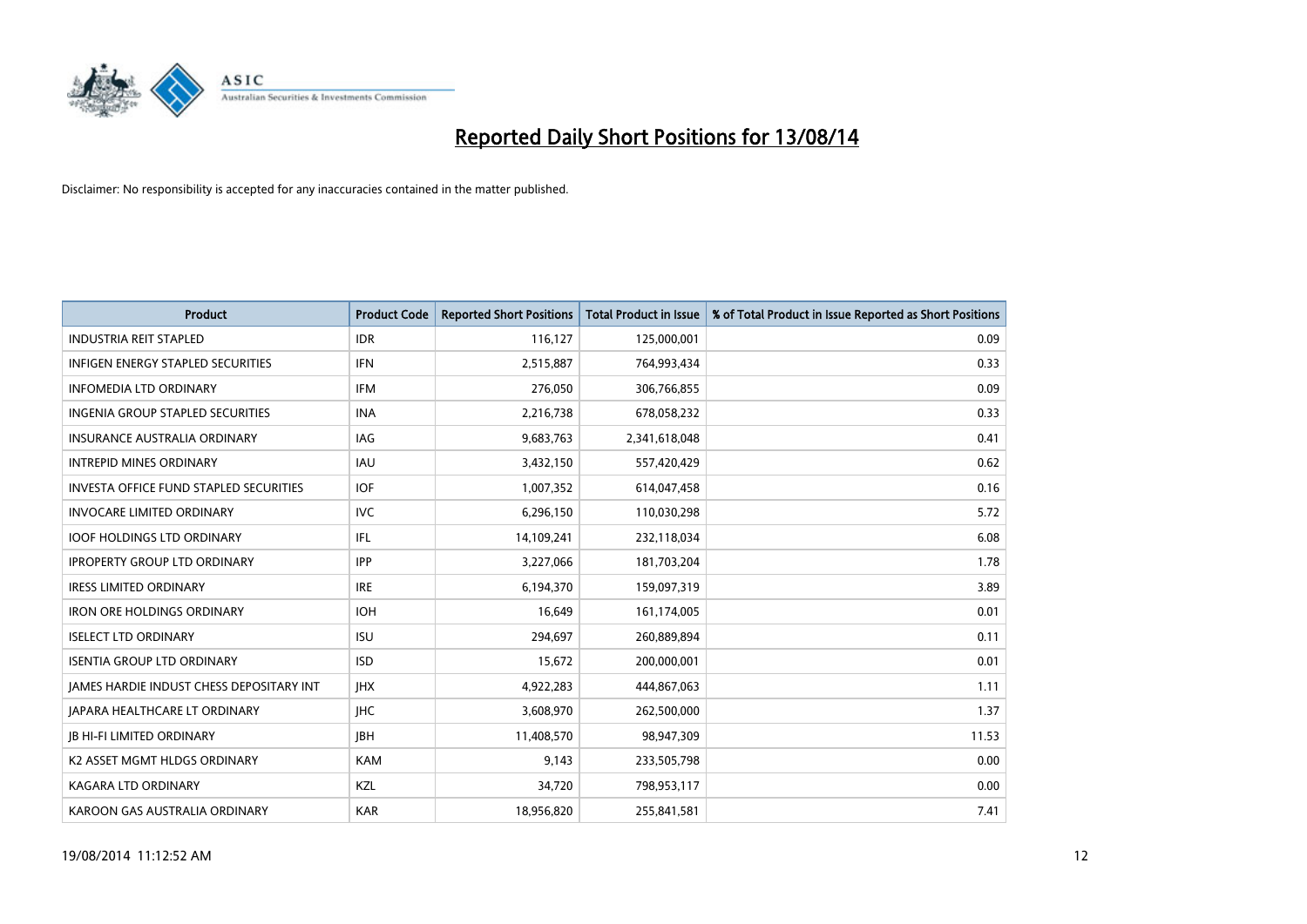

| <b>Product</b>                                | <b>Product Code</b> | <b>Reported Short Positions</b> | <b>Total Product in Issue</b> | % of Total Product in Issue Reported as Short Positions |
|-----------------------------------------------|---------------------|---------------------------------|-------------------------------|---------------------------------------------------------|
| <b>INDUSTRIA REIT STAPLED</b>                 | <b>IDR</b>          | 116,127                         | 125,000,001                   | 0.09                                                    |
| <b>INFIGEN ENERGY STAPLED SECURITIES</b>      | <b>IFN</b>          | 2,515,887                       | 764,993,434                   | 0.33                                                    |
| <b>INFOMEDIA LTD ORDINARY</b>                 | <b>IFM</b>          | 276,050                         | 306,766,855                   | 0.09                                                    |
| INGENIA GROUP STAPLED SECURITIES              | <b>INA</b>          | 2,216,738                       | 678,058,232                   | 0.33                                                    |
| INSURANCE AUSTRALIA ORDINARY                  | IAG                 | 9,683,763                       | 2,341,618,048                 | 0.41                                                    |
| <b>INTREPID MINES ORDINARY</b>                | <b>IAU</b>          | 3,432,150                       | 557,420,429                   | 0.62                                                    |
| <b>INVESTA OFFICE FUND STAPLED SECURITIES</b> | <b>IOF</b>          | 1,007,352                       | 614,047,458                   | 0.16                                                    |
| <b>INVOCARE LIMITED ORDINARY</b>              | <b>IVC</b>          | 6,296,150                       | 110,030,298                   | 5.72                                                    |
| <b>IOOF HOLDINGS LTD ORDINARY</b>             | <b>IFL</b>          | 14,109,241                      | 232,118,034                   | 6.08                                                    |
| <b>IPROPERTY GROUP LTD ORDINARY</b>           | <b>IPP</b>          | 3,227,066                       | 181,703,204                   | 1.78                                                    |
| <b>IRESS LIMITED ORDINARY</b>                 | <b>IRE</b>          | 6,194,370                       | 159,097,319                   | 3.89                                                    |
| <b>IRON ORE HOLDINGS ORDINARY</b>             | <b>IOH</b>          | 16,649                          | 161,174,005                   | 0.01                                                    |
| <b>ISELECT LTD ORDINARY</b>                   | <b>ISU</b>          | 294.697                         | 260,889,894                   | 0.11                                                    |
| <b>ISENTIA GROUP LTD ORDINARY</b>             | <b>ISD</b>          | 15,672                          | 200,000,001                   | 0.01                                                    |
| JAMES HARDIE INDUST CHESS DEPOSITARY INT      | <b>IHX</b>          | 4,922,283                       | 444,867,063                   | 1.11                                                    |
| <b>JAPARA HEALTHCARE LT ORDINARY</b>          | <b>IHC</b>          | 3,608,970                       | 262,500,000                   | 1.37                                                    |
| <b>JB HI-FI LIMITED ORDINARY</b>              | <b>IBH</b>          | 11,408,570                      | 98,947,309                    | 11.53                                                   |
| K2 ASSET MGMT HLDGS ORDINARY                  | <b>KAM</b>          | 9,143                           | 233,505,798                   | 0.00                                                    |
| <b>KAGARA LTD ORDINARY</b>                    | KZL                 | 34,720                          | 798,953,117                   | 0.00                                                    |
| KAROON GAS AUSTRALIA ORDINARY                 | <b>KAR</b>          | 18,956,820                      | 255,841,581                   | 7.41                                                    |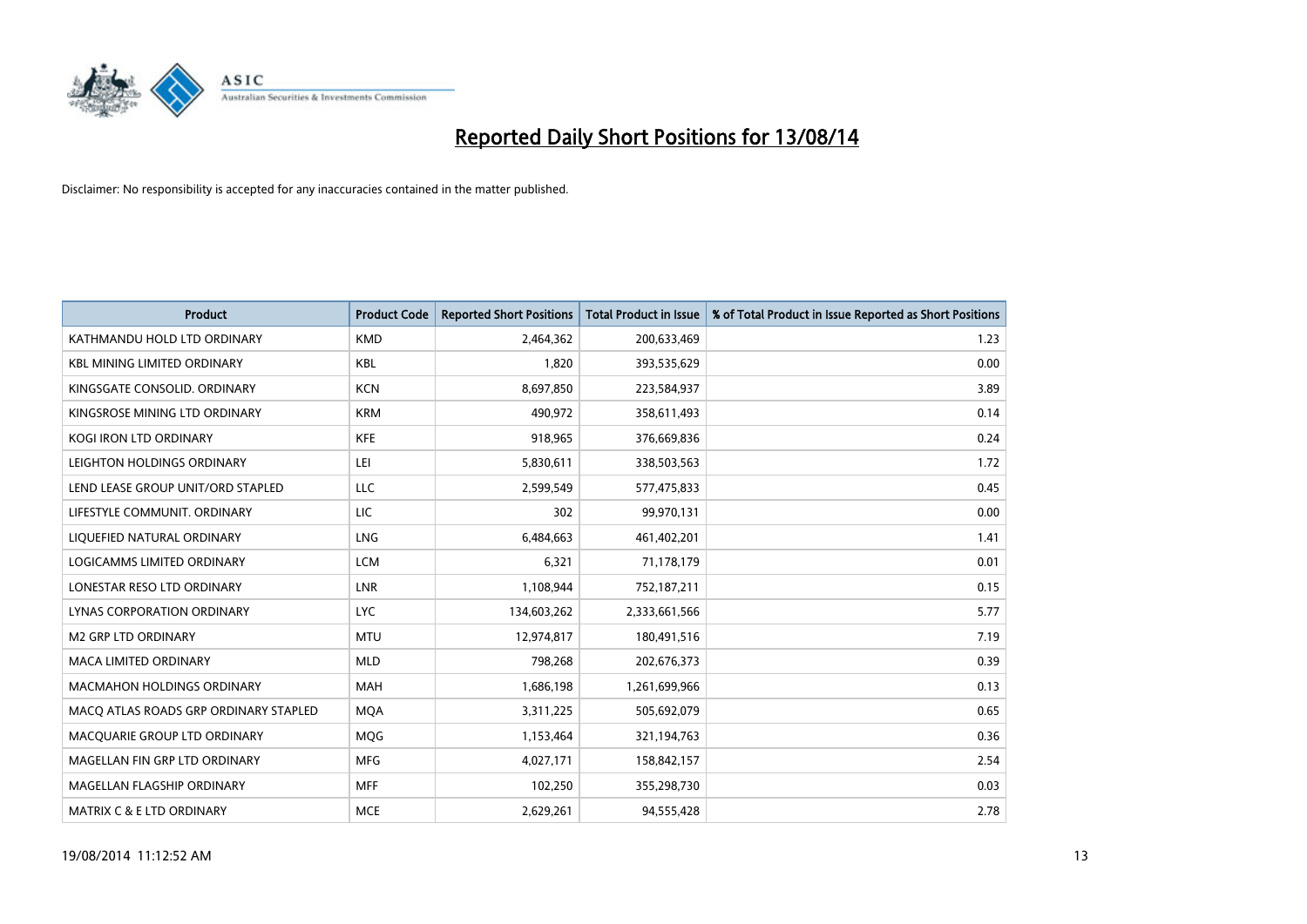

| <b>Product</b>                        | <b>Product Code</b> | <b>Reported Short Positions</b> | <b>Total Product in Issue</b> | % of Total Product in Issue Reported as Short Positions |
|---------------------------------------|---------------------|---------------------------------|-------------------------------|---------------------------------------------------------|
| KATHMANDU HOLD LTD ORDINARY           | <b>KMD</b>          | 2,464,362                       | 200,633,469                   | 1.23                                                    |
| <b>KBL MINING LIMITED ORDINARY</b>    | <b>KBL</b>          | 1,820                           | 393,535,629                   | 0.00                                                    |
| KINGSGATE CONSOLID, ORDINARY          | <b>KCN</b>          | 8,697,850                       | 223,584,937                   | 3.89                                                    |
| KINGSROSE MINING LTD ORDINARY         | <b>KRM</b>          | 490,972                         | 358,611,493                   | 0.14                                                    |
| <b>KOGI IRON LTD ORDINARY</b>         | KFE                 | 918,965                         | 376,669,836                   | 0.24                                                    |
| LEIGHTON HOLDINGS ORDINARY            | LEI                 | 5,830,611                       | 338,503,563                   | 1.72                                                    |
| LEND LEASE GROUP UNIT/ORD STAPLED     | LLC                 | 2,599,549                       | 577,475,833                   | 0.45                                                    |
| LIFESTYLE COMMUNIT, ORDINARY          | <b>LIC</b>          | 302                             | 99,970,131                    | 0.00                                                    |
| LIQUEFIED NATURAL ORDINARY            | LNG                 | 6,484,663                       | 461,402,201                   | 1.41                                                    |
| LOGICAMMS LIMITED ORDINARY            | <b>LCM</b>          | 6,321                           | 71,178,179                    | 0.01                                                    |
| LONESTAR RESO LTD ORDINARY            | <b>LNR</b>          | 1,108,944                       | 752,187,211                   | 0.15                                                    |
| <b>LYNAS CORPORATION ORDINARY</b>     | <b>LYC</b>          | 134,603,262                     | 2,333,661,566                 | 5.77                                                    |
| <b>M2 GRP LTD ORDINARY</b>            | <b>MTU</b>          | 12,974,817                      | 180,491,516                   | 7.19                                                    |
| <b>MACA LIMITED ORDINARY</b>          | <b>MLD</b>          | 798,268                         | 202,676,373                   | 0.39                                                    |
| <b>MACMAHON HOLDINGS ORDINARY</b>     | <b>MAH</b>          | 1,686,198                       | 1,261,699,966                 | 0.13                                                    |
| MACQ ATLAS ROADS GRP ORDINARY STAPLED | <b>MQA</b>          | 3,311,225                       | 505,692,079                   | 0.65                                                    |
| MACQUARIE GROUP LTD ORDINARY          | <b>MQG</b>          | 1,153,464                       | 321,194,763                   | 0.36                                                    |
| MAGELLAN FIN GRP LTD ORDINARY         | <b>MFG</b>          | 4,027,171                       | 158,842,157                   | 2.54                                                    |
| MAGELLAN FLAGSHIP ORDINARY            | <b>MFF</b>          | 102,250                         | 355,298,730                   | 0.03                                                    |
| <b>MATRIX C &amp; E LTD ORDINARY</b>  | <b>MCE</b>          | 2,629,261                       | 94,555,428                    | 2.78                                                    |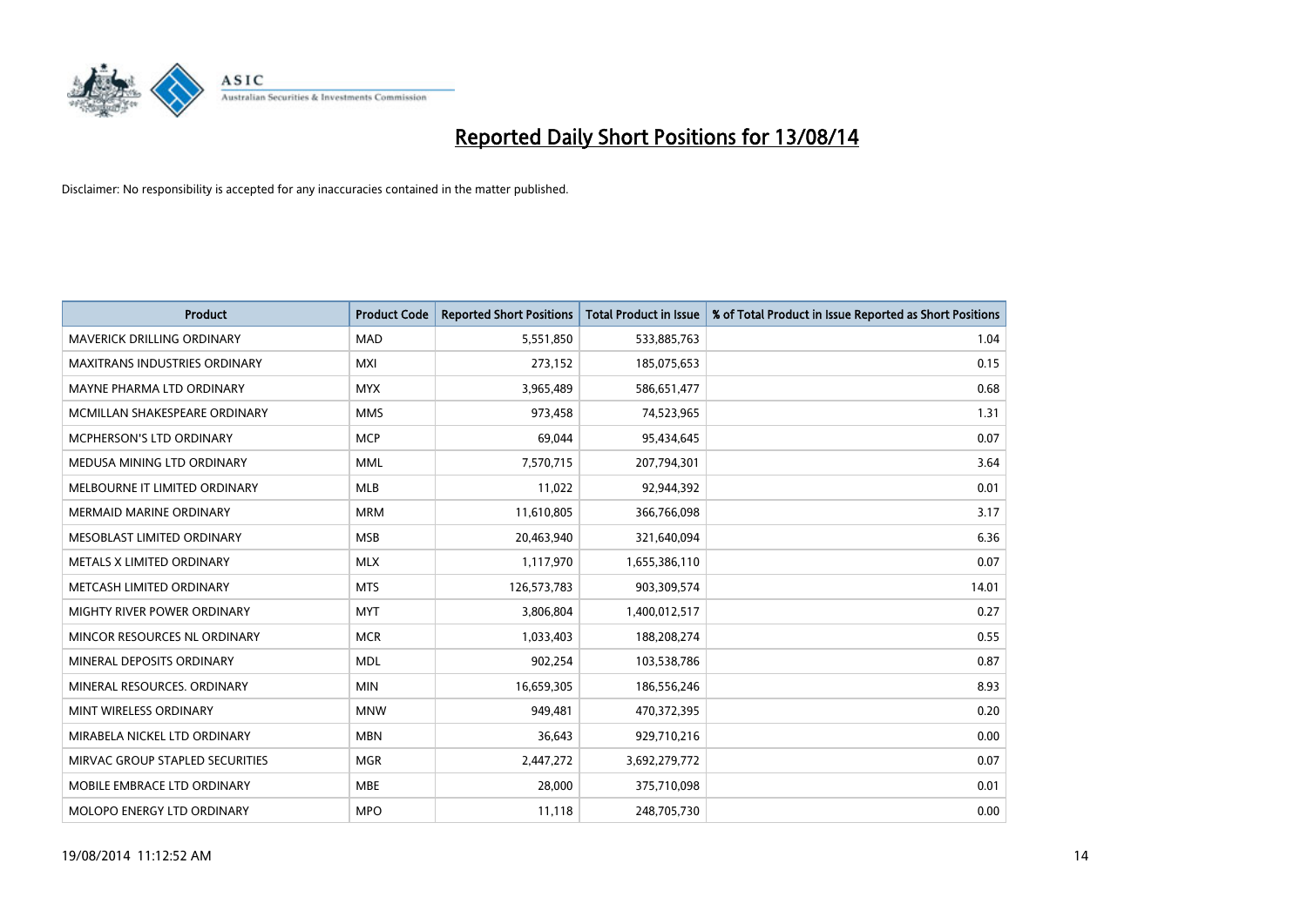

| <b>Product</b>                    | <b>Product Code</b> | <b>Reported Short Positions</b> | <b>Total Product in Issue</b> | % of Total Product in Issue Reported as Short Positions |
|-----------------------------------|---------------------|---------------------------------|-------------------------------|---------------------------------------------------------|
| <b>MAVERICK DRILLING ORDINARY</b> | <b>MAD</b>          | 5,551,850                       | 533,885,763                   | 1.04                                                    |
| MAXITRANS INDUSTRIES ORDINARY     | MXI                 | 273,152                         | 185,075,653                   | 0.15                                                    |
| MAYNE PHARMA LTD ORDINARY         | <b>MYX</b>          | 3,965,489                       | 586,651,477                   | 0.68                                                    |
| MCMILLAN SHAKESPEARE ORDINARY     | <b>MMS</b>          | 973,458                         | 74,523,965                    | 1.31                                                    |
| <b>MCPHERSON'S LTD ORDINARY</b>   | <b>MCP</b>          | 69,044                          | 95,434,645                    | 0.07                                                    |
| MEDUSA MINING LTD ORDINARY        | <b>MML</b>          | 7,570,715                       | 207,794,301                   | 3.64                                                    |
| MELBOURNE IT LIMITED ORDINARY     | <b>MLB</b>          | 11,022                          | 92,944,392                    | 0.01                                                    |
| <b>MERMAID MARINE ORDINARY</b>    | <b>MRM</b>          | 11,610,805                      | 366,766,098                   | 3.17                                                    |
| MESOBLAST LIMITED ORDINARY        | <b>MSB</b>          | 20,463,940                      | 321,640,094                   | 6.36                                                    |
| METALS X LIMITED ORDINARY         | <b>MLX</b>          | 1,117,970                       | 1,655,386,110                 | 0.07                                                    |
| METCASH LIMITED ORDINARY          | <b>MTS</b>          | 126,573,783                     | 903,309,574                   | 14.01                                                   |
| MIGHTY RIVER POWER ORDINARY       | <b>MYT</b>          | 3,806,804                       | 1,400,012,517                 | 0.27                                                    |
| MINCOR RESOURCES NL ORDINARY      | <b>MCR</b>          | 1,033,403                       | 188,208,274                   | 0.55                                                    |
| MINERAL DEPOSITS ORDINARY         | <b>MDL</b>          | 902,254                         | 103,538,786                   | 0.87                                                    |
| MINERAL RESOURCES, ORDINARY       | <b>MIN</b>          | 16,659,305                      | 186,556,246                   | 8.93                                                    |
| MINT WIRELESS ORDINARY            | <b>MNW</b>          | 949,481                         | 470,372,395                   | 0.20                                                    |
| MIRABELA NICKEL LTD ORDINARY      | <b>MBN</b>          | 36,643                          | 929,710,216                   | 0.00                                                    |
| MIRVAC GROUP STAPLED SECURITIES   | <b>MGR</b>          | 2,447,272                       | 3,692,279,772                 | 0.07                                                    |
| MOBILE EMBRACE LTD ORDINARY       | <b>MBE</b>          | 28,000                          | 375,710,098                   | 0.01                                                    |
| MOLOPO ENERGY LTD ORDINARY        | <b>MPO</b>          | 11,118                          | 248,705,730                   | 0.00                                                    |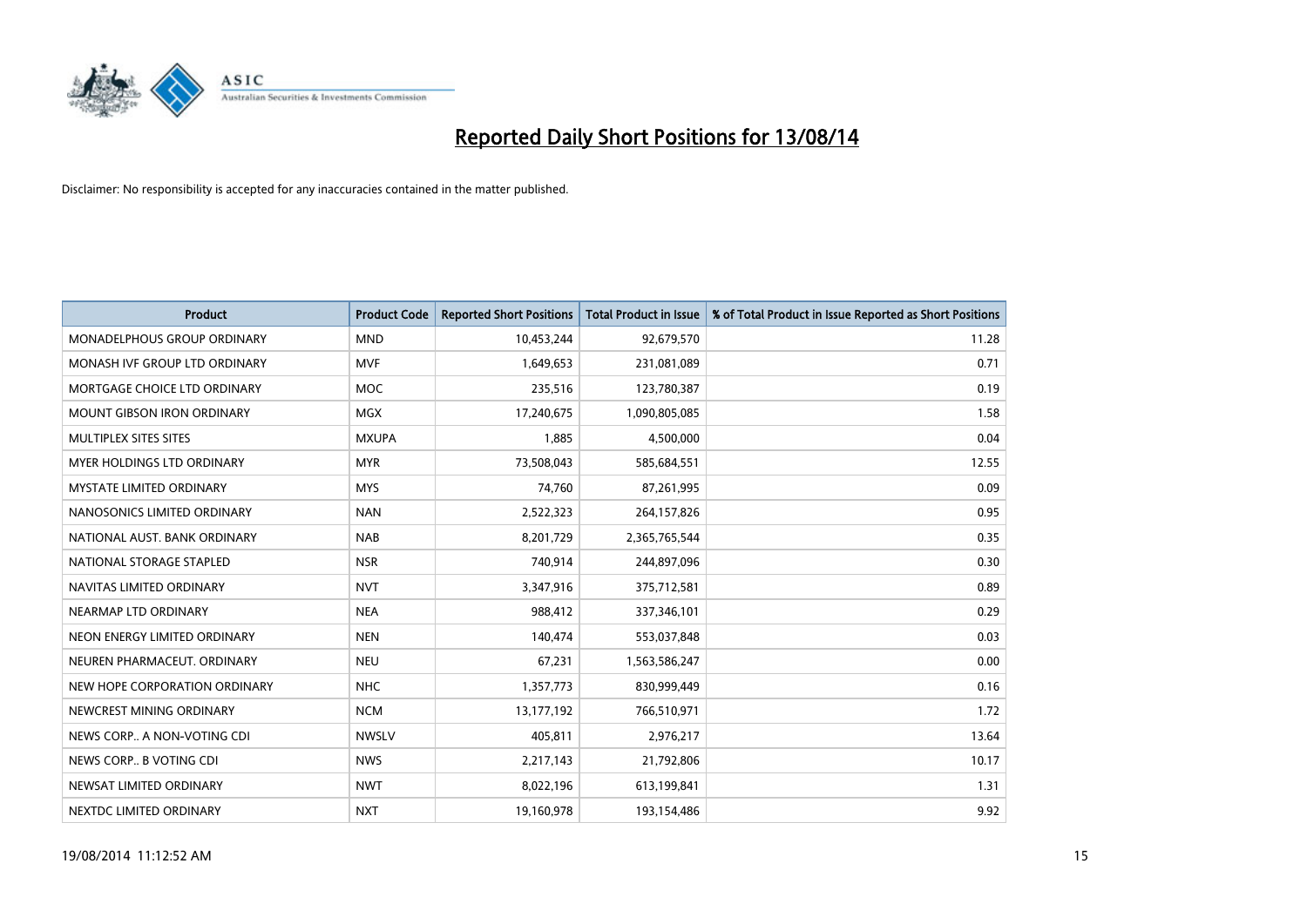

| Product                           | <b>Product Code</b> | <b>Reported Short Positions</b> | <b>Total Product in Issue</b> | % of Total Product in Issue Reported as Short Positions |
|-----------------------------------|---------------------|---------------------------------|-------------------------------|---------------------------------------------------------|
| MONADELPHOUS GROUP ORDINARY       | <b>MND</b>          | 10,453,244                      | 92,679,570                    | 11.28                                                   |
| MONASH IVF GROUP LTD ORDINARY     | <b>MVF</b>          | 1,649,653                       | 231,081,089                   | 0.71                                                    |
| MORTGAGE CHOICE LTD ORDINARY      | <b>MOC</b>          | 235,516                         | 123,780,387                   | 0.19                                                    |
| <b>MOUNT GIBSON IRON ORDINARY</b> | <b>MGX</b>          | 17,240,675                      | 1,090,805,085                 | 1.58                                                    |
| MULTIPLEX SITES SITES             | <b>MXUPA</b>        | 1,885                           | 4,500,000                     | 0.04                                                    |
| MYER HOLDINGS LTD ORDINARY        | <b>MYR</b>          | 73,508,043                      | 585,684,551                   | 12.55                                                   |
| <b>MYSTATE LIMITED ORDINARY</b>   | <b>MYS</b>          | 74,760                          | 87,261,995                    | 0.09                                                    |
| NANOSONICS LIMITED ORDINARY       | <b>NAN</b>          | 2,522,323                       | 264,157,826                   | 0.95                                                    |
| NATIONAL AUST, BANK ORDINARY      | <b>NAB</b>          | 8,201,729                       | 2,365,765,544                 | 0.35                                                    |
| NATIONAL STORAGE STAPLED          | <b>NSR</b>          | 740,914                         | 244,897,096                   | 0.30                                                    |
| NAVITAS LIMITED ORDINARY          | <b>NVT</b>          | 3,347,916                       | 375,712,581                   | 0.89                                                    |
| NEARMAP LTD ORDINARY              | <b>NEA</b>          | 988,412                         | 337,346,101                   | 0.29                                                    |
| NEON ENERGY LIMITED ORDINARY      | <b>NEN</b>          | 140,474                         | 553,037,848                   | 0.03                                                    |
| NEUREN PHARMACEUT, ORDINARY       | <b>NEU</b>          | 67,231                          | 1,563,586,247                 | 0.00                                                    |
| NEW HOPE CORPORATION ORDINARY     | <b>NHC</b>          | 1,357,773                       | 830,999,449                   | 0.16                                                    |
| NEWCREST MINING ORDINARY          | <b>NCM</b>          | 13,177,192                      | 766,510,971                   | 1.72                                                    |
| NEWS CORP A NON-VOTING CDI        | <b>NWSLV</b>        | 405,811                         | 2,976,217                     | 13.64                                                   |
| NEWS CORP B VOTING CDI            | <b>NWS</b>          | 2,217,143                       | 21,792,806                    | 10.17                                                   |
| NEWSAT LIMITED ORDINARY           | <b>NWT</b>          | 8,022,196                       | 613,199,841                   | 1.31                                                    |
| NEXTDC LIMITED ORDINARY           | <b>NXT</b>          | 19,160,978                      | 193,154,486                   | 9.92                                                    |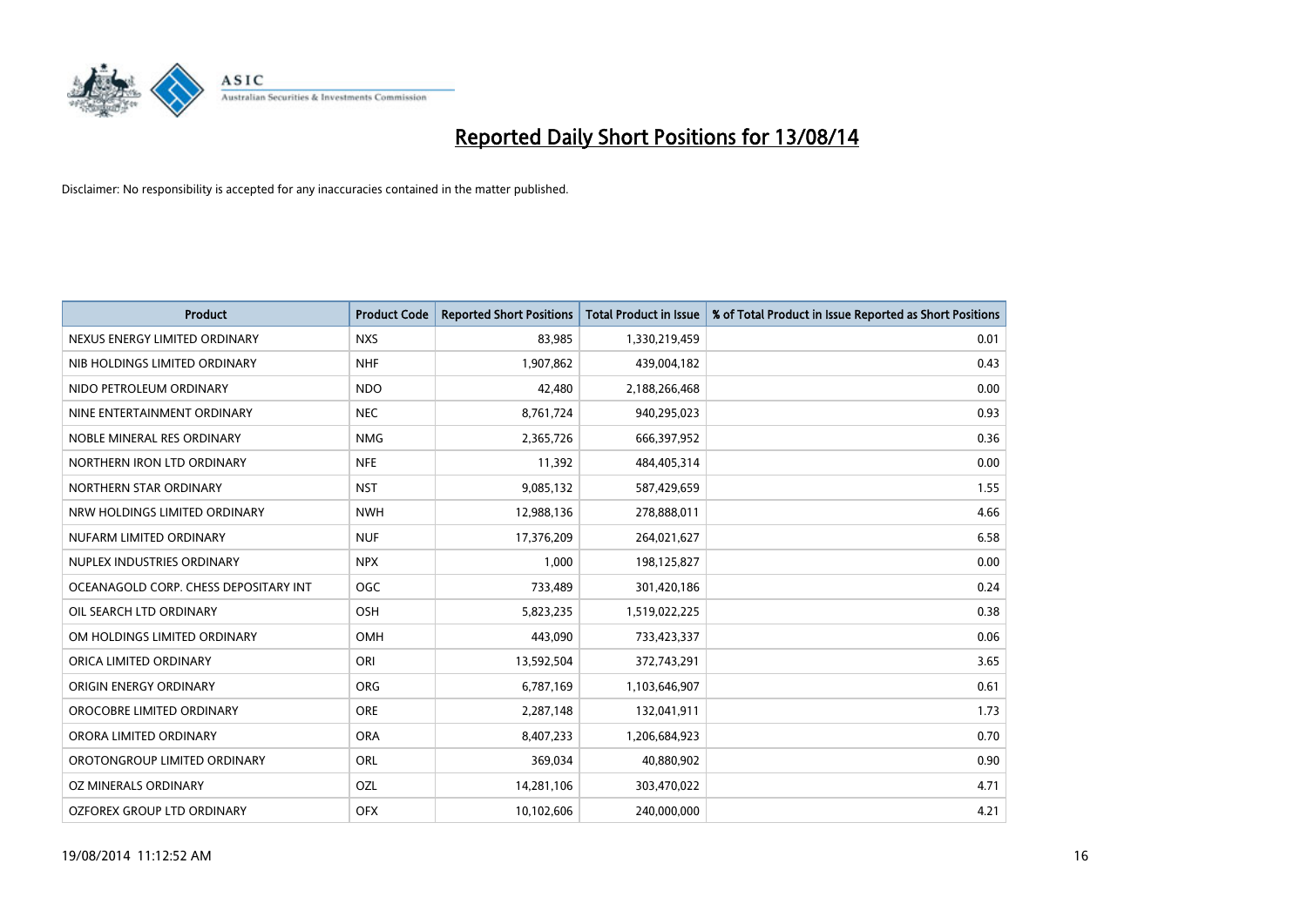

| <b>Product</b>                        | <b>Product Code</b> | <b>Reported Short Positions</b> | <b>Total Product in Issue</b> | % of Total Product in Issue Reported as Short Positions |
|---------------------------------------|---------------------|---------------------------------|-------------------------------|---------------------------------------------------------|
| NEXUS ENERGY LIMITED ORDINARY         | <b>NXS</b>          | 83,985                          | 1,330,219,459                 | 0.01                                                    |
| NIB HOLDINGS LIMITED ORDINARY         | <b>NHF</b>          | 1,907,862                       | 439,004,182                   | 0.43                                                    |
| NIDO PETROLEUM ORDINARY               | <b>NDO</b>          | 42,480                          | 2,188,266,468                 | 0.00                                                    |
| NINE ENTERTAINMENT ORDINARY           | <b>NEC</b>          | 8,761,724                       | 940,295,023                   | 0.93                                                    |
| NOBLE MINERAL RES ORDINARY            | <b>NMG</b>          | 2,365,726                       | 666,397,952                   | 0.36                                                    |
| NORTHERN IRON LTD ORDINARY            | <b>NFE</b>          | 11,392                          | 484,405,314                   | 0.00                                                    |
| NORTHERN STAR ORDINARY                | <b>NST</b>          | 9,085,132                       | 587,429,659                   | 1.55                                                    |
| NRW HOLDINGS LIMITED ORDINARY         | <b>NWH</b>          | 12,988,136                      | 278,888,011                   | 4.66                                                    |
| NUFARM LIMITED ORDINARY               | <b>NUF</b>          | 17,376,209                      | 264,021,627                   | 6.58                                                    |
| NUPLEX INDUSTRIES ORDINARY            | <b>NPX</b>          | 1,000                           | 198,125,827                   | 0.00                                                    |
| OCEANAGOLD CORP. CHESS DEPOSITARY INT | <b>OGC</b>          | 733,489                         | 301,420,186                   | 0.24                                                    |
| OIL SEARCH LTD ORDINARY               | OSH                 | 5,823,235                       | 1,519,022,225                 | 0.38                                                    |
| OM HOLDINGS LIMITED ORDINARY          | OMH                 | 443,090                         | 733,423,337                   | 0.06                                                    |
| ORICA LIMITED ORDINARY                | ORI                 | 13,592,504                      | 372,743,291                   | 3.65                                                    |
| ORIGIN ENERGY ORDINARY                | <b>ORG</b>          | 6,787,169                       | 1,103,646,907                 | 0.61                                                    |
| OROCOBRE LIMITED ORDINARY             | <b>ORE</b>          | 2,287,148                       | 132,041,911                   | 1.73                                                    |
| ORORA LIMITED ORDINARY                | <b>ORA</b>          | 8,407,233                       | 1,206,684,923                 | 0.70                                                    |
| OROTONGROUP LIMITED ORDINARY          | ORL                 | 369,034                         | 40,880,902                    | 0.90                                                    |
| OZ MINERALS ORDINARY                  | OZL                 | 14,281,106                      | 303,470,022                   | 4.71                                                    |
| OZFOREX GROUP LTD ORDINARY            | <b>OFX</b>          | 10,102,606                      | 240,000,000                   | 4.21                                                    |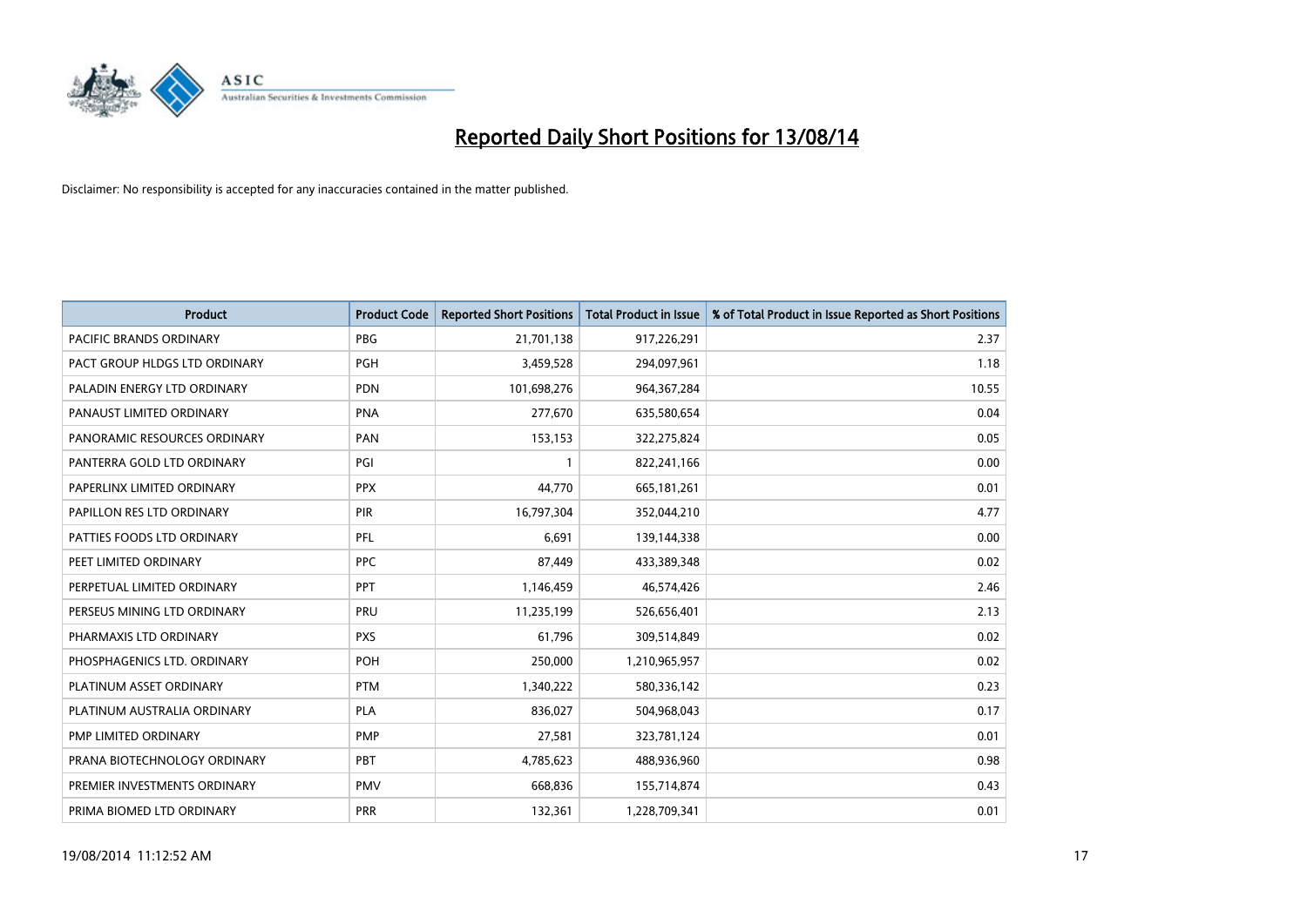

| Product                        | <b>Product Code</b> | <b>Reported Short Positions</b> | <b>Total Product in Issue</b> | % of Total Product in Issue Reported as Short Positions |
|--------------------------------|---------------------|---------------------------------|-------------------------------|---------------------------------------------------------|
| <b>PACIFIC BRANDS ORDINARY</b> | <b>PBG</b>          | 21,701,138                      | 917,226,291                   | 2.37                                                    |
| PACT GROUP HLDGS LTD ORDINARY  | <b>PGH</b>          | 3,459,528                       | 294,097,961                   | 1.18                                                    |
| PALADIN ENERGY LTD ORDINARY    | <b>PDN</b>          | 101,698,276                     | 964, 367, 284                 | 10.55                                                   |
| PANAUST LIMITED ORDINARY       | <b>PNA</b>          | 277,670                         | 635,580,654                   | 0.04                                                    |
| PANORAMIC RESOURCES ORDINARY   | PAN                 | 153,153                         | 322,275,824                   | 0.05                                                    |
| PANTERRA GOLD LTD ORDINARY     | PGI                 | $\mathbf{1}$                    | 822,241,166                   | 0.00                                                    |
| PAPERLINX LIMITED ORDINARY     | <b>PPX</b>          | 44,770                          | 665,181,261                   | 0.01                                                    |
| PAPILLON RES LTD ORDINARY      | <b>PIR</b>          | 16,797,304                      | 352,044,210                   | 4.77                                                    |
| PATTIES FOODS LTD ORDINARY     | PFL                 | 6,691                           | 139,144,338                   | 0.00                                                    |
| PEET LIMITED ORDINARY          | <b>PPC</b>          | 87,449                          | 433,389,348                   | 0.02                                                    |
| PERPETUAL LIMITED ORDINARY     | PPT                 | 1,146,459                       | 46,574,426                    | 2.46                                                    |
| PERSEUS MINING LTD ORDINARY    | PRU                 | 11,235,199                      | 526,656,401                   | 2.13                                                    |
| PHARMAXIS LTD ORDINARY         | <b>PXS</b>          | 61,796                          | 309,514,849                   | 0.02                                                    |
| PHOSPHAGENICS LTD. ORDINARY    | POH                 | 250,000                         | 1,210,965,957                 | 0.02                                                    |
| PLATINUM ASSET ORDINARY        | <b>PTM</b>          | 1,340,222                       | 580,336,142                   | 0.23                                                    |
| PLATINUM AUSTRALIA ORDINARY    | PLA                 | 836,027                         | 504,968,043                   | 0.17                                                    |
| PMP LIMITED ORDINARY           | <b>PMP</b>          | 27,581                          | 323,781,124                   | 0.01                                                    |
| PRANA BIOTECHNOLOGY ORDINARY   | PBT                 | 4,785,623                       | 488,936,960                   | 0.98                                                    |
| PREMIER INVESTMENTS ORDINARY   | <b>PMV</b>          | 668,836                         | 155,714,874                   | 0.43                                                    |
| PRIMA BIOMED LTD ORDINARY      | <b>PRR</b>          | 132,361                         | 1,228,709,341                 | 0.01                                                    |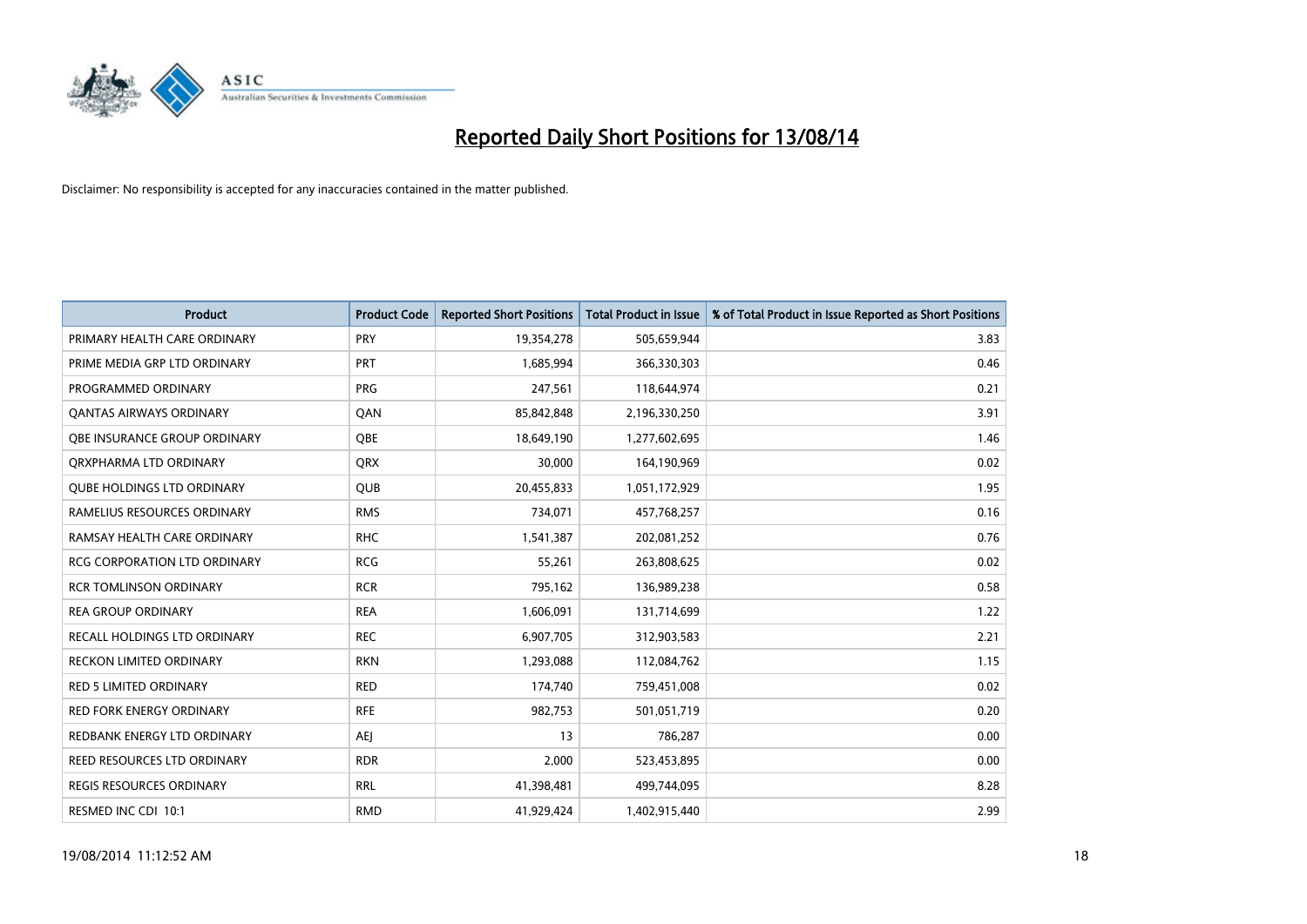

| <b>Product</b>                      | <b>Product Code</b> | <b>Reported Short Positions</b> | <b>Total Product in Issue</b> | % of Total Product in Issue Reported as Short Positions |
|-------------------------------------|---------------------|---------------------------------|-------------------------------|---------------------------------------------------------|
| PRIMARY HEALTH CARE ORDINARY        | <b>PRY</b>          | 19,354,278                      | 505,659,944                   | 3.83                                                    |
| PRIME MEDIA GRP LTD ORDINARY        | <b>PRT</b>          | 1,685,994                       | 366,330,303                   | 0.46                                                    |
| PROGRAMMED ORDINARY                 | <b>PRG</b>          | 247,561                         | 118,644,974                   | 0.21                                                    |
| <b>QANTAS AIRWAYS ORDINARY</b>      | QAN                 | 85,842,848                      | 2,196,330,250                 | 3.91                                                    |
| <b>OBE INSURANCE GROUP ORDINARY</b> | <b>OBE</b>          | 18,649,190                      | 1,277,602,695                 | 1.46                                                    |
| ORXPHARMA LTD ORDINARY              | <b>QRX</b>          | 30,000                          | 164,190,969                   | 0.02                                                    |
| <b>QUBE HOLDINGS LTD ORDINARY</b>   | <b>QUB</b>          | 20,455,833                      | 1,051,172,929                 | 1.95                                                    |
| RAMELIUS RESOURCES ORDINARY         | <b>RMS</b>          | 734,071                         | 457,768,257                   | 0.16                                                    |
| RAMSAY HEALTH CARE ORDINARY         | <b>RHC</b>          | 1,541,387                       | 202,081,252                   | 0.76                                                    |
| <b>RCG CORPORATION LTD ORDINARY</b> | <b>RCG</b>          | 55,261                          | 263,808,625                   | 0.02                                                    |
| <b>RCR TOMLINSON ORDINARY</b>       | <b>RCR</b>          | 795,162                         | 136,989,238                   | 0.58                                                    |
| <b>REA GROUP ORDINARY</b>           | <b>REA</b>          | 1,606,091                       | 131,714,699                   | 1.22                                                    |
| RECALL HOLDINGS LTD ORDINARY        | <b>REC</b>          | 6,907,705                       | 312,903,583                   | 2.21                                                    |
| <b>RECKON LIMITED ORDINARY</b>      | <b>RKN</b>          | 1,293,088                       | 112,084,762                   | 1.15                                                    |
| <b>RED 5 LIMITED ORDINARY</b>       | <b>RED</b>          | 174,740                         | 759,451,008                   | 0.02                                                    |
| RED FORK ENERGY ORDINARY            | <b>RFE</b>          | 982,753                         | 501,051,719                   | 0.20                                                    |
| REDBANK ENERGY LTD ORDINARY         | AEJ                 | 13                              | 786,287                       | 0.00                                                    |
| REED RESOURCES LTD ORDINARY         | <b>RDR</b>          | 2,000                           | 523,453,895                   | 0.00                                                    |
| <b>REGIS RESOURCES ORDINARY</b>     | <b>RRL</b>          | 41,398,481                      | 499,744,095                   | 8.28                                                    |
| RESMED INC CDI 10:1                 | <b>RMD</b>          | 41,929,424                      | 1,402,915,440                 | 2.99                                                    |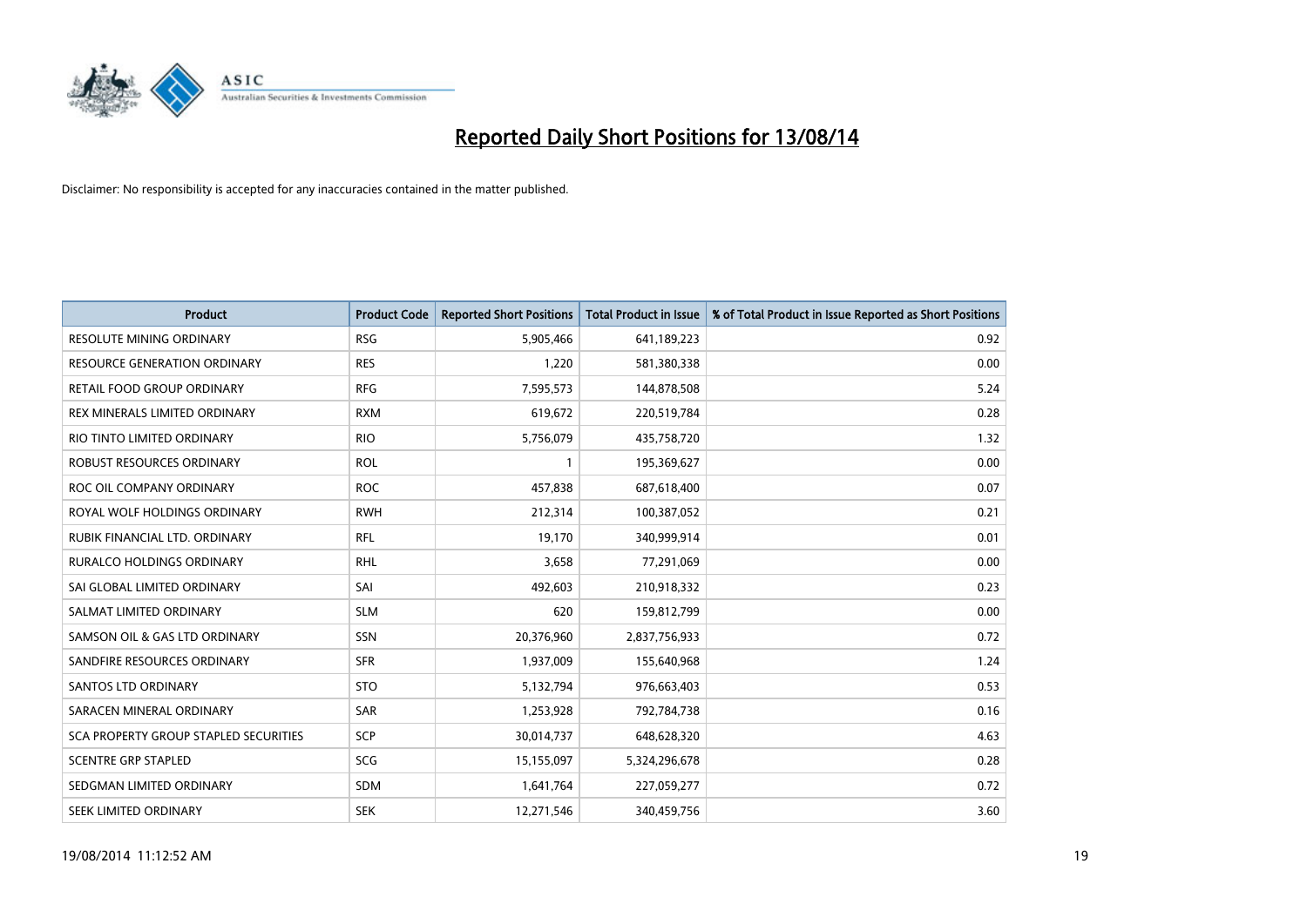

| <b>Product</b>                        | <b>Product Code</b> | <b>Reported Short Positions</b> | <b>Total Product in Issue</b> | % of Total Product in Issue Reported as Short Positions |
|---------------------------------------|---------------------|---------------------------------|-------------------------------|---------------------------------------------------------|
| <b>RESOLUTE MINING ORDINARY</b>       | <b>RSG</b>          | 5,905,466                       | 641,189,223                   | 0.92                                                    |
| RESOURCE GENERATION ORDINARY          | <b>RES</b>          | 1,220                           | 581,380,338                   | 0.00                                                    |
| RETAIL FOOD GROUP ORDINARY            | <b>RFG</b>          | 7,595,573                       | 144,878,508                   | 5.24                                                    |
| REX MINERALS LIMITED ORDINARY         | <b>RXM</b>          | 619,672                         | 220,519,784                   | 0.28                                                    |
| RIO TINTO LIMITED ORDINARY            | <b>RIO</b>          | 5,756,079                       | 435,758,720                   | 1.32                                                    |
| <b>ROBUST RESOURCES ORDINARY</b>      | <b>ROL</b>          | 1                               | 195,369,627                   | 0.00                                                    |
| ROC OIL COMPANY ORDINARY              | <b>ROC</b>          | 457,838                         | 687,618,400                   | 0.07                                                    |
| ROYAL WOLF HOLDINGS ORDINARY          | <b>RWH</b>          | 212,314                         | 100,387,052                   | 0.21                                                    |
| RUBIK FINANCIAL LTD. ORDINARY         | <b>RFL</b>          | 19,170                          | 340,999,914                   | 0.01                                                    |
| <b>RURALCO HOLDINGS ORDINARY</b>      | <b>RHL</b>          | 3,658                           | 77,291,069                    | 0.00                                                    |
| SAI GLOBAL LIMITED ORDINARY           | SAI                 | 492,603                         | 210,918,332                   | 0.23                                                    |
| SALMAT LIMITED ORDINARY               | <b>SLM</b>          | 620                             | 159,812,799                   | 0.00                                                    |
| SAMSON OIL & GAS LTD ORDINARY         | <b>SSN</b>          | 20,376,960                      | 2,837,756,933                 | 0.72                                                    |
| SANDFIRE RESOURCES ORDINARY           | <b>SFR</b>          | 1,937,009                       | 155,640,968                   | 1.24                                                    |
| <b>SANTOS LTD ORDINARY</b>            | <b>STO</b>          | 5,132,794                       | 976,663,403                   | 0.53                                                    |
| SARACEN MINERAL ORDINARY              | SAR                 | 1,253,928                       | 792,784,738                   | 0.16                                                    |
| SCA PROPERTY GROUP STAPLED SECURITIES | SCP                 | 30,014,737                      | 648,628,320                   | 4.63                                                    |
| <b>SCENTRE GRP STAPLED</b>            | SCG                 | 15,155,097                      | 5,324,296,678                 | 0.28                                                    |
| SEDGMAN LIMITED ORDINARY              | <b>SDM</b>          | 1,641,764                       | 227,059,277                   | 0.72                                                    |
| SEEK LIMITED ORDINARY                 | <b>SEK</b>          | 12,271,546                      | 340,459,756                   | 3.60                                                    |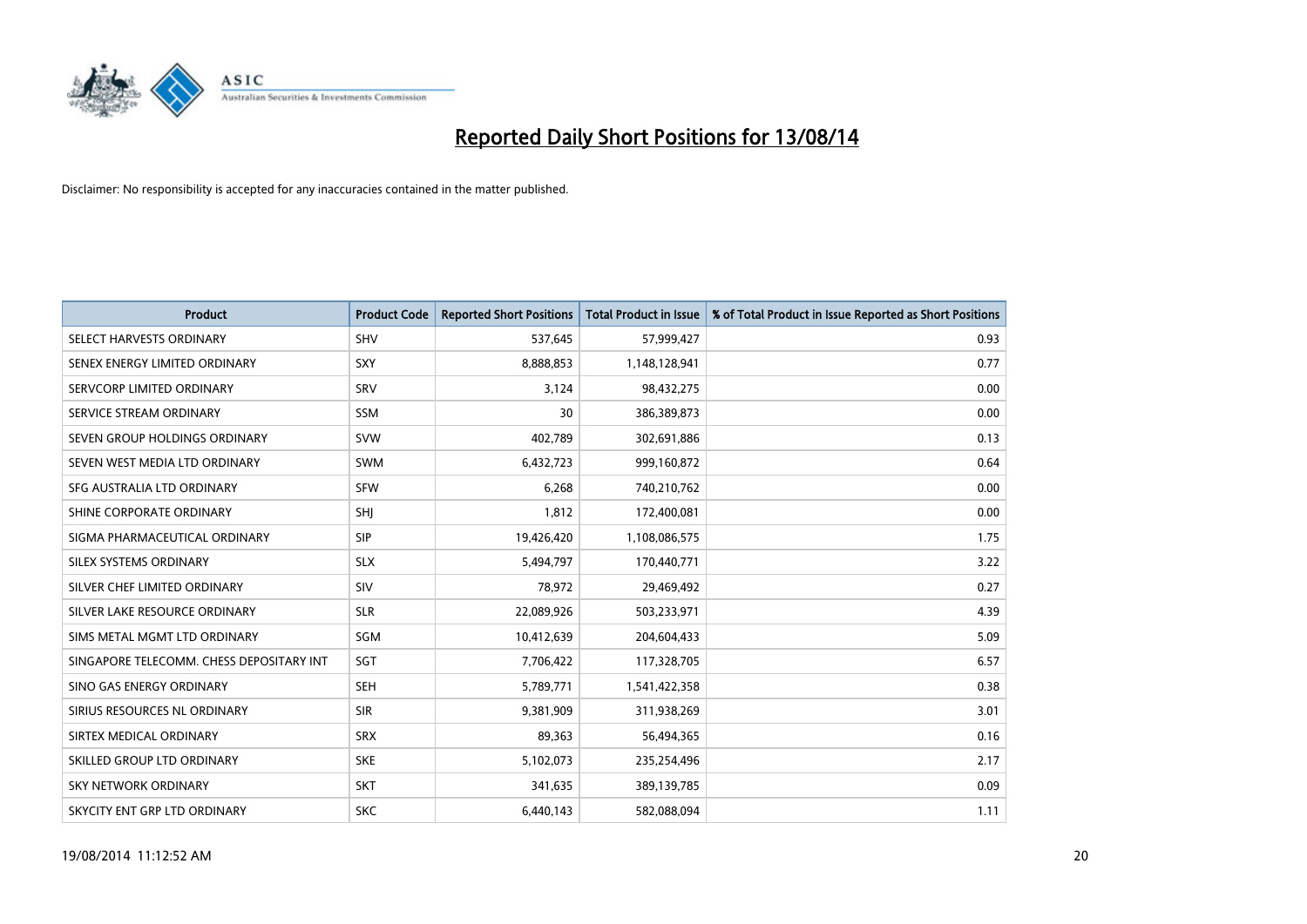

| <b>Product</b>                           | <b>Product Code</b> | <b>Reported Short Positions</b> | <b>Total Product in Issue</b> | % of Total Product in Issue Reported as Short Positions |
|------------------------------------------|---------------------|---------------------------------|-------------------------------|---------------------------------------------------------|
| SELECT HARVESTS ORDINARY                 | <b>SHV</b>          | 537,645                         | 57,999,427                    | 0.93                                                    |
| SENEX ENERGY LIMITED ORDINARY            | <b>SXY</b>          | 8,888,853                       | 1,148,128,941                 | 0.77                                                    |
| SERVCORP LIMITED ORDINARY                | SRV                 | 3,124                           | 98,432,275                    | 0.00                                                    |
| SERVICE STREAM ORDINARY                  | <b>SSM</b>          | 30                              | 386,389,873                   | 0.00                                                    |
| SEVEN GROUP HOLDINGS ORDINARY            | <b>SVW</b>          | 402,789                         | 302,691,886                   | 0.13                                                    |
| SEVEN WEST MEDIA LTD ORDINARY            | <b>SWM</b>          | 6,432,723                       | 999,160,872                   | 0.64                                                    |
| SFG AUSTRALIA LTD ORDINARY               | <b>SFW</b>          | 6,268                           | 740,210,762                   | 0.00                                                    |
| SHINE CORPORATE ORDINARY                 | SHI                 | 1,812                           | 172,400,081                   | 0.00                                                    |
| SIGMA PHARMACEUTICAL ORDINARY            | <b>SIP</b>          | 19,426,420                      | 1,108,086,575                 | 1.75                                                    |
| SILEX SYSTEMS ORDINARY                   | <b>SLX</b>          | 5,494,797                       | 170,440,771                   | 3.22                                                    |
| SILVER CHEF LIMITED ORDINARY             | <b>SIV</b>          | 78,972                          | 29,469,492                    | 0.27                                                    |
| SILVER LAKE RESOURCE ORDINARY            | <b>SLR</b>          | 22,089,926                      | 503,233,971                   | 4.39                                                    |
| SIMS METAL MGMT LTD ORDINARY             | SGM                 | 10,412,639                      | 204,604,433                   | 5.09                                                    |
| SINGAPORE TELECOMM. CHESS DEPOSITARY INT | SGT                 | 7,706,422                       | 117,328,705                   | 6.57                                                    |
| SINO GAS ENERGY ORDINARY                 | <b>SEH</b>          | 5,789,771                       | 1,541,422,358                 | 0.38                                                    |
| SIRIUS RESOURCES NL ORDINARY             | <b>SIR</b>          | 9,381,909                       | 311,938,269                   | 3.01                                                    |
| SIRTEX MEDICAL ORDINARY                  | <b>SRX</b>          | 89,363                          | 56,494,365                    | 0.16                                                    |
| SKILLED GROUP LTD ORDINARY               | <b>SKE</b>          | 5,102,073                       | 235,254,496                   | 2.17                                                    |
| <b>SKY NETWORK ORDINARY</b>              | <b>SKT</b>          | 341,635                         | 389,139,785                   | 0.09                                                    |
| SKYCITY ENT GRP LTD ORDINARY             | <b>SKC</b>          | 6,440,143                       | 582,088,094                   | 1.11                                                    |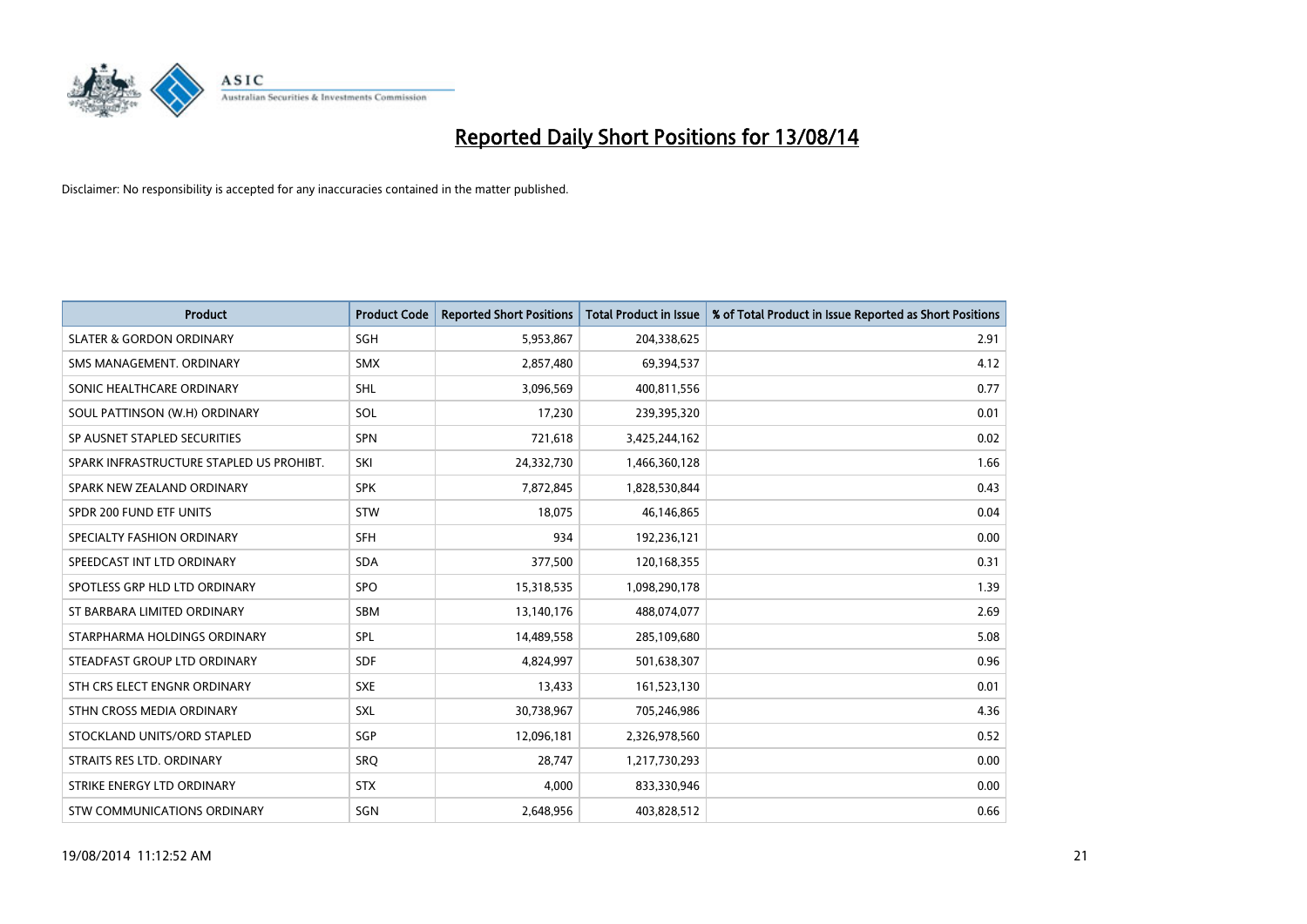

| <b>Product</b>                           | <b>Product Code</b> | <b>Reported Short Positions</b> | <b>Total Product in Issue</b> | % of Total Product in Issue Reported as Short Positions |
|------------------------------------------|---------------------|---------------------------------|-------------------------------|---------------------------------------------------------|
| <b>SLATER &amp; GORDON ORDINARY</b>      | SGH                 | 5,953,867                       | 204,338,625                   | 2.91                                                    |
| SMS MANAGEMENT. ORDINARY                 | SMX                 | 2,857,480                       | 69,394,537                    | 4.12                                                    |
| SONIC HEALTHCARE ORDINARY                | <b>SHL</b>          | 3,096,569                       | 400,811,556                   | 0.77                                                    |
| SOUL PATTINSON (W.H) ORDINARY            | SOL                 | 17,230                          | 239,395,320                   | 0.01                                                    |
| SP AUSNET STAPLED SECURITIES             | <b>SPN</b>          | 721,618                         | 3,425,244,162                 | 0.02                                                    |
| SPARK INFRASTRUCTURE STAPLED US PROHIBT. | SKI                 | 24,332,730                      | 1,466,360,128                 | 1.66                                                    |
| SPARK NEW ZEALAND ORDINARY               | <b>SPK</b>          | 7,872,845                       | 1,828,530,844                 | 0.43                                                    |
| SPDR 200 FUND ETF UNITS                  | <b>STW</b>          | 18,075                          | 46,146,865                    | 0.04                                                    |
| SPECIALTY FASHION ORDINARY               | <b>SFH</b>          | 934                             | 192,236,121                   | 0.00                                                    |
| SPEEDCAST INT LTD ORDINARY               | <b>SDA</b>          | 377,500                         | 120,168,355                   | 0.31                                                    |
| SPOTLESS GRP HLD LTD ORDINARY            | <b>SPO</b>          | 15,318,535                      | 1,098,290,178                 | 1.39                                                    |
| ST BARBARA LIMITED ORDINARY              | <b>SBM</b>          | 13,140,176                      | 488,074,077                   | 2.69                                                    |
| STARPHARMA HOLDINGS ORDINARY             | SPL                 | 14,489,558                      | 285,109,680                   | 5.08                                                    |
| STEADFAST GROUP LTD ORDINARY             | SDF                 | 4,824,997                       | 501,638,307                   | 0.96                                                    |
| STH CRS ELECT ENGNR ORDINARY             | <b>SXE</b>          | 13,433                          | 161,523,130                   | 0.01                                                    |
| STHN CROSS MEDIA ORDINARY                | SXL                 | 30,738,967                      | 705,246,986                   | 4.36                                                    |
| STOCKLAND UNITS/ORD STAPLED              | SGP                 | 12,096,181                      | 2,326,978,560                 | 0.52                                                    |
| STRAITS RES LTD. ORDINARY                | <b>SRQ</b>          | 28,747                          | 1,217,730,293                 | 0.00                                                    |
| STRIKE ENERGY LTD ORDINARY               | <b>STX</b>          | 4,000                           | 833,330,946                   | 0.00                                                    |
| STW COMMUNICATIONS ORDINARY              | SGN                 | 2,648,956                       | 403,828,512                   | 0.66                                                    |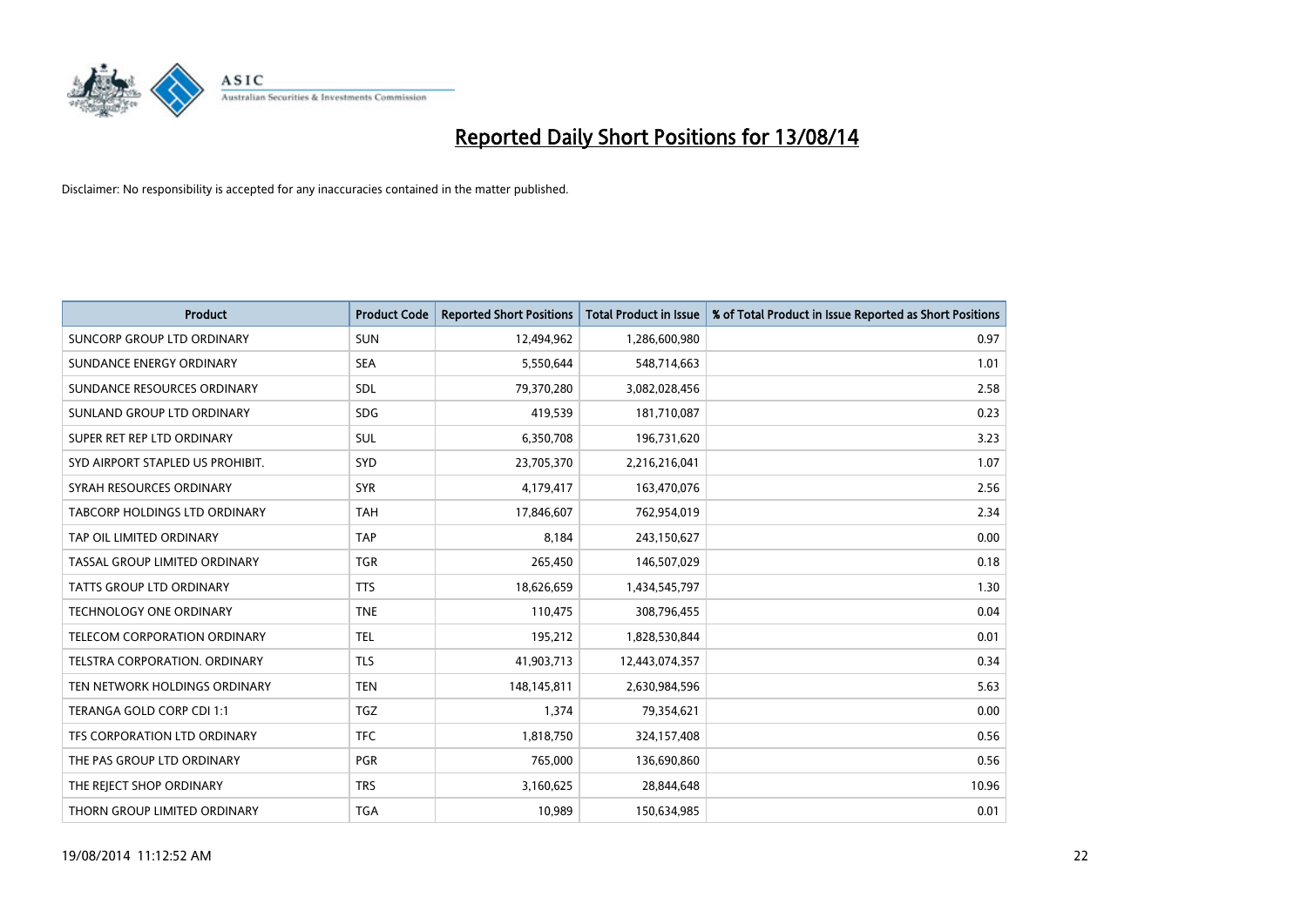

| <b>Product</b>                    | <b>Product Code</b> | <b>Reported Short Positions</b> | <b>Total Product in Issue</b> | % of Total Product in Issue Reported as Short Positions |
|-----------------------------------|---------------------|---------------------------------|-------------------------------|---------------------------------------------------------|
| <b>SUNCORP GROUP LTD ORDINARY</b> | <b>SUN</b>          | 12,494,962                      | 1,286,600,980                 | 0.97                                                    |
| SUNDANCE ENERGY ORDINARY          | <b>SEA</b>          | 5,550,644                       | 548,714,663                   | 1.01                                                    |
| SUNDANCE RESOURCES ORDINARY       | <b>SDL</b>          | 79,370,280                      | 3,082,028,456                 | 2.58                                                    |
| SUNLAND GROUP LTD ORDINARY        | <b>SDG</b>          | 419,539                         | 181,710,087                   | 0.23                                                    |
| SUPER RET REP LTD ORDINARY        | SUL                 | 6,350,708                       | 196,731,620                   | 3.23                                                    |
| SYD AIRPORT STAPLED US PROHIBIT.  | SYD                 | 23,705,370                      | 2,216,216,041                 | 1.07                                                    |
| SYRAH RESOURCES ORDINARY          | <b>SYR</b>          | 4,179,417                       | 163,470,076                   | 2.56                                                    |
| TABCORP HOLDINGS LTD ORDINARY     | <b>TAH</b>          | 17,846,607                      | 762,954,019                   | 2.34                                                    |
| TAP OIL LIMITED ORDINARY          | <b>TAP</b>          | 8.184                           | 243,150,627                   | 0.00                                                    |
| TASSAL GROUP LIMITED ORDINARY     | <b>TGR</b>          | 265,450                         | 146,507,029                   | 0.18                                                    |
| TATTS GROUP LTD ORDINARY          | <b>TTS</b>          | 18,626,659                      | 1,434,545,797                 | 1.30                                                    |
| <b>TECHNOLOGY ONE ORDINARY</b>    | <b>TNE</b>          | 110,475                         | 308,796,455                   | 0.04                                                    |
| TELECOM CORPORATION ORDINARY      | <b>TEL</b>          | 195,212                         | 1,828,530,844                 | 0.01                                                    |
| TELSTRA CORPORATION, ORDINARY     | <b>TLS</b>          | 41,903,713                      | 12,443,074,357                | 0.34                                                    |
| TEN NETWORK HOLDINGS ORDINARY     | <b>TEN</b>          | 148,145,811                     | 2,630,984,596                 | 5.63                                                    |
| TERANGA GOLD CORP CDI 1:1         | <b>TGZ</b>          | 1,374                           | 79,354,621                    | 0.00                                                    |
| TFS CORPORATION LTD ORDINARY      | <b>TFC</b>          | 1,818,750                       | 324,157,408                   | 0.56                                                    |
| THE PAS GROUP LTD ORDINARY        | <b>PGR</b>          | 765,000                         | 136,690,860                   | 0.56                                                    |
| THE REJECT SHOP ORDINARY          | <b>TRS</b>          | 3,160,625                       | 28,844,648                    | 10.96                                                   |
| THORN GROUP LIMITED ORDINARY      | <b>TGA</b>          | 10,989                          | 150,634,985                   | 0.01                                                    |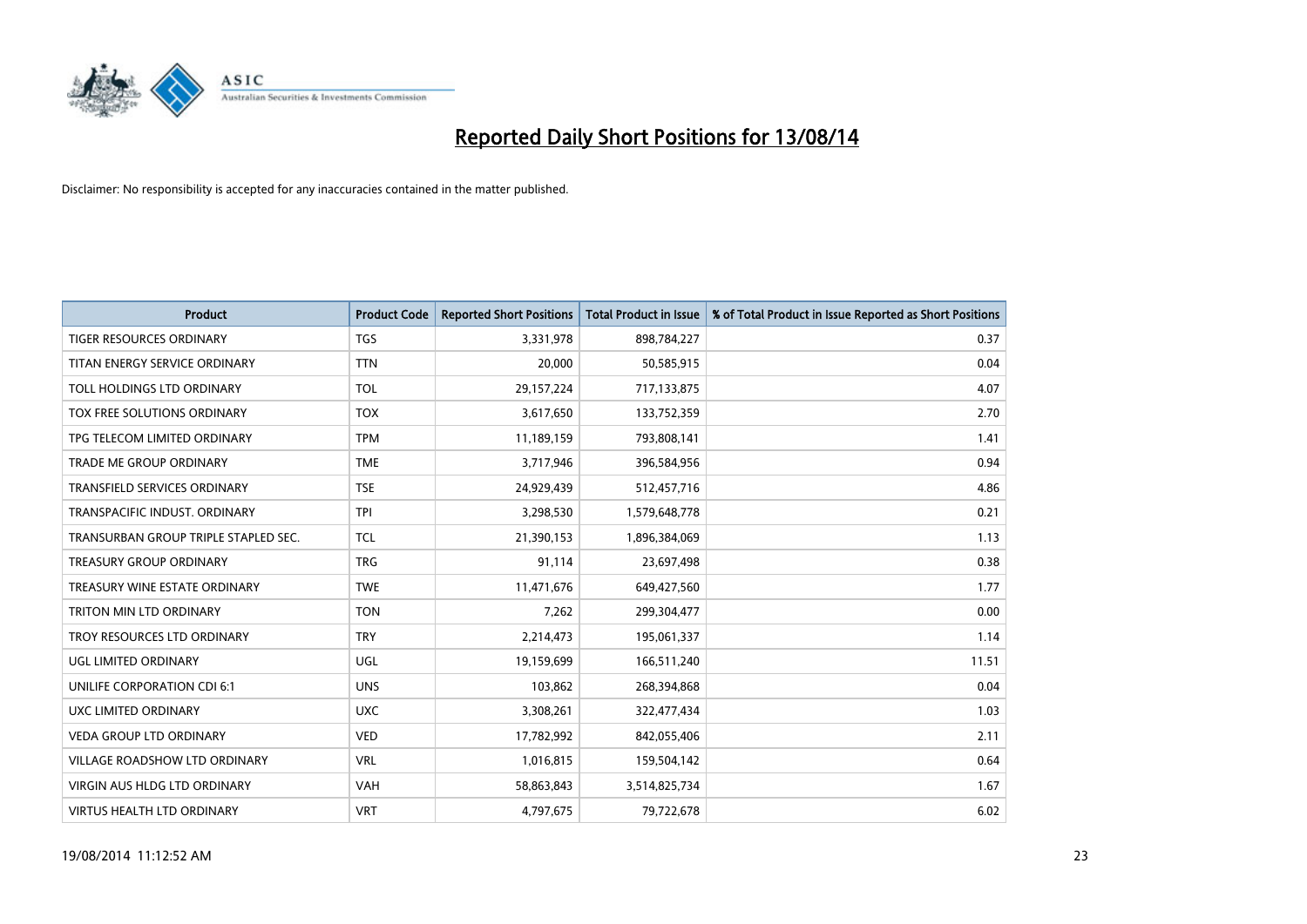

| <b>Product</b>                       | <b>Product Code</b> | <b>Reported Short Positions</b> | <b>Total Product in Issue</b> | % of Total Product in Issue Reported as Short Positions |
|--------------------------------------|---------------------|---------------------------------|-------------------------------|---------------------------------------------------------|
| <b>TIGER RESOURCES ORDINARY</b>      | <b>TGS</b>          | 3,331,978                       | 898,784,227                   | 0.37                                                    |
| TITAN ENERGY SERVICE ORDINARY        | <b>TTN</b>          | 20,000                          | 50,585,915                    | 0.04                                                    |
| TOLL HOLDINGS LTD ORDINARY           | <b>TOL</b>          | 29,157,224                      | 717,133,875                   | 4.07                                                    |
| TOX FREE SOLUTIONS ORDINARY          | <b>TOX</b>          | 3,617,650                       | 133,752,359                   | 2.70                                                    |
| TPG TELECOM LIMITED ORDINARY         | <b>TPM</b>          | 11,189,159                      | 793,808,141                   | 1.41                                                    |
| <b>TRADE ME GROUP ORDINARY</b>       | <b>TME</b>          | 3,717,946                       | 396,584,956                   | 0.94                                                    |
| TRANSFIELD SERVICES ORDINARY         | <b>TSE</b>          | 24,929,439                      | 512,457,716                   | 4.86                                                    |
| TRANSPACIFIC INDUST. ORDINARY        | <b>TPI</b>          | 3,298,530                       | 1,579,648,778                 | 0.21                                                    |
| TRANSURBAN GROUP TRIPLE STAPLED SEC. | <b>TCL</b>          | 21,390,153                      | 1,896,384,069                 | 1.13                                                    |
| <b>TREASURY GROUP ORDINARY</b>       | <b>TRG</b>          | 91,114                          | 23,697,498                    | 0.38                                                    |
| TREASURY WINE ESTATE ORDINARY        | <b>TWE</b>          | 11,471,676                      | 649,427,560                   | 1.77                                                    |
| TRITON MIN LTD ORDINARY              | <b>TON</b>          | 7,262                           | 299,304,477                   | 0.00                                                    |
| TROY RESOURCES LTD ORDINARY          | <b>TRY</b>          | 2,214,473                       | 195,061,337                   | 1.14                                                    |
| UGL LIMITED ORDINARY                 | UGL                 | 19,159,699                      | 166,511,240                   | 11.51                                                   |
| UNILIFE CORPORATION CDI 6:1          | <b>UNS</b>          | 103,862                         | 268,394,868                   | 0.04                                                    |
| UXC LIMITED ORDINARY                 | <b>UXC</b>          | 3,308,261                       | 322,477,434                   | 1.03                                                    |
| VEDA GROUP LTD ORDINARY              | <b>VED</b>          | 17,782,992                      | 842,055,406                   | 2.11                                                    |
| <b>VILLAGE ROADSHOW LTD ORDINARY</b> | <b>VRL</b>          | 1,016,815                       | 159,504,142                   | 0.64                                                    |
| <b>VIRGIN AUS HLDG LTD ORDINARY</b>  | <b>VAH</b>          | 58,863,843                      | 3,514,825,734                 | 1.67                                                    |
| VIRTUS HEALTH LTD ORDINARY           | <b>VRT</b>          | 4,797,675                       | 79,722,678                    | 6.02                                                    |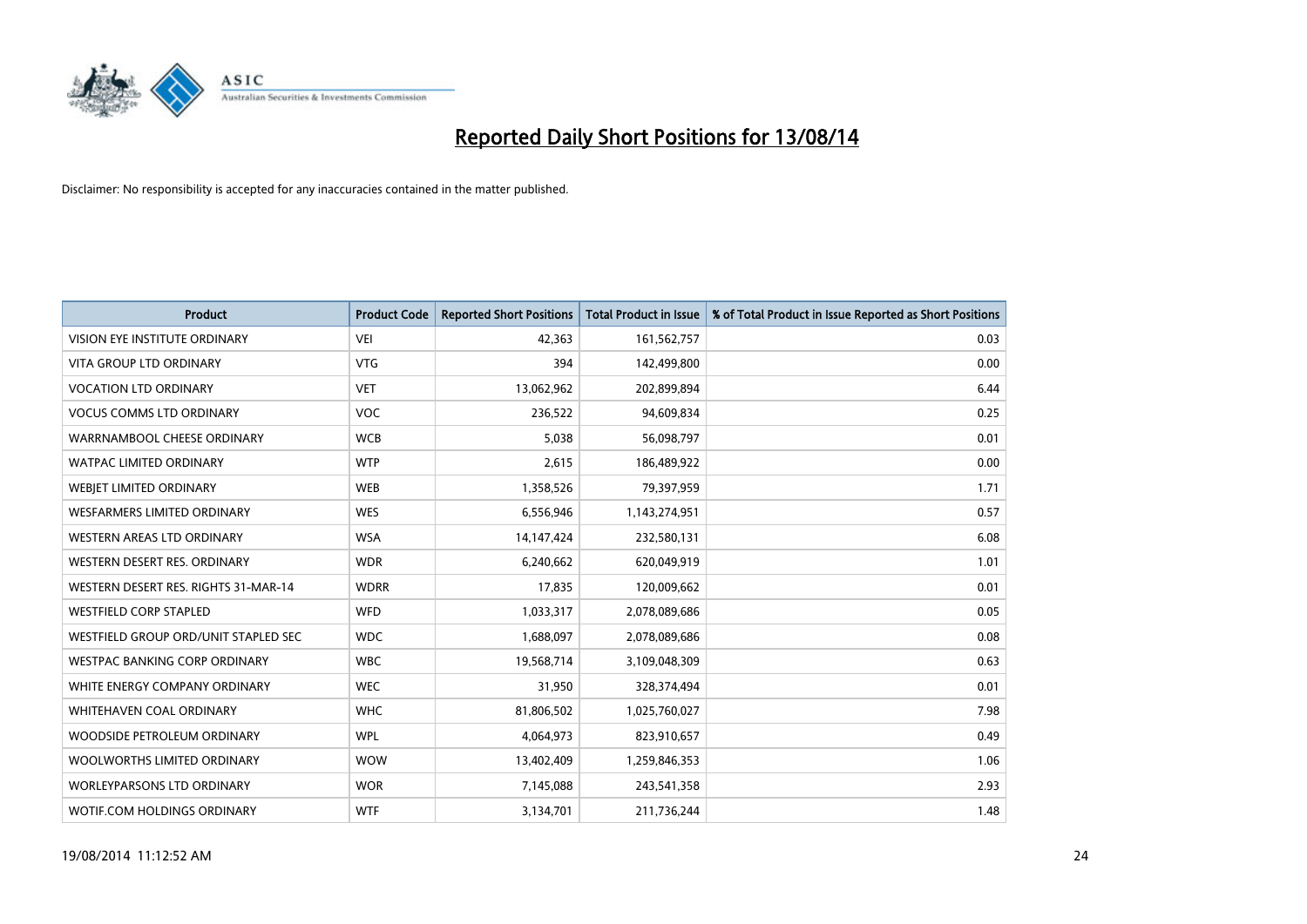

| <b>Product</b>                       | <b>Product Code</b> | <b>Reported Short Positions</b> | <b>Total Product in Issue</b> | % of Total Product in Issue Reported as Short Positions |
|--------------------------------------|---------------------|---------------------------------|-------------------------------|---------------------------------------------------------|
| VISION EYE INSTITUTE ORDINARY        | <b>VEI</b>          | 42,363                          | 161,562,757                   | 0.03                                                    |
| <b>VITA GROUP LTD ORDINARY</b>       | <b>VTG</b>          | 394                             | 142,499,800                   | 0.00                                                    |
| <b>VOCATION LTD ORDINARY</b>         | <b>VET</b>          | 13,062,962                      | 202,899,894                   | 6.44                                                    |
| <b>VOCUS COMMS LTD ORDINARY</b>      | <b>VOC</b>          | 236,522                         | 94,609,834                    | 0.25                                                    |
| WARRNAMBOOL CHEESE ORDINARY          | <b>WCB</b>          | 5,038                           | 56,098,797                    | 0.01                                                    |
| <b>WATPAC LIMITED ORDINARY</b>       | <b>WTP</b>          | 2,615                           | 186,489,922                   | 0.00                                                    |
| WEBIET LIMITED ORDINARY              | <b>WEB</b>          | 1,358,526                       | 79,397,959                    | 1.71                                                    |
| WESFARMERS LIMITED ORDINARY          | <b>WES</b>          | 6,556,946                       | 1,143,274,951                 | 0.57                                                    |
| WESTERN AREAS LTD ORDINARY           | <b>WSA</b>          | 14, 147, 424                    | 232,580,131                   | 6.08                                                    |
| WESTERN DESERT RES. ORDINARY         | <b>WDR</b>          | 6,240,662                       | 620,049,919                   | 1.01                                                    |
| WESTERN DESERT RES. RIGHTS 31-MAR-14 | <b>WDRR</b>         | 17,835                          | 120,009,662                   | 0.01                                                    |
| <b>WESTFIELD CORP STAPLED</b>        | <b>WFD</b>          | 1,033,317                       | 2,078,089,686                 | 0.05                                                    |
| WESTFIELD GROUP ORD/UNIT STAPLED SEC | <b>WDC</b>          | 1,688,097                       | 2,078,089,686                 | 0.08                                                    |
| <b>WESTPAC BANKING CORP ORDINARY</b> | <b>WBC</b>          | 19,568,714                      | 3,109,048,309                 | 0.63                                                    |
| WHITE ENERGY COMPANY ORDINARY        | <b>WEC</b>          | 31,950                          | 328,374,494                   | 0.01                                                    |
| <b>WHITEHAVEN COAL ORDINARY</b>      | <b>WHC</b>          | 81,806,502                      | 1,025,760,027                 | 7.98                                                    |
| WOODSIDE PETROLEUM ORDINARY          | <b>WPL</b>          | 4,064,973                       | 823,910,657                   | 0.49                                                    |
| WOOLWORTHS LIMITED ORDINARY          | <b>WOW</b>          | 13,402,409                      | 1,259,846,353                 | 1.06                                                    |
| <b>WORLEYPARSONS LTD ORDINARY</b>    | <b>WOR</b>          | 7,145,088                       | 243,541,358                   | 2.93                                                    |
| WOTIF.COM HOLDINGS ORDINARY          | <b>WTF</b>          | 3,134,701                       | 211,736,244                   | 1.48                                                    |